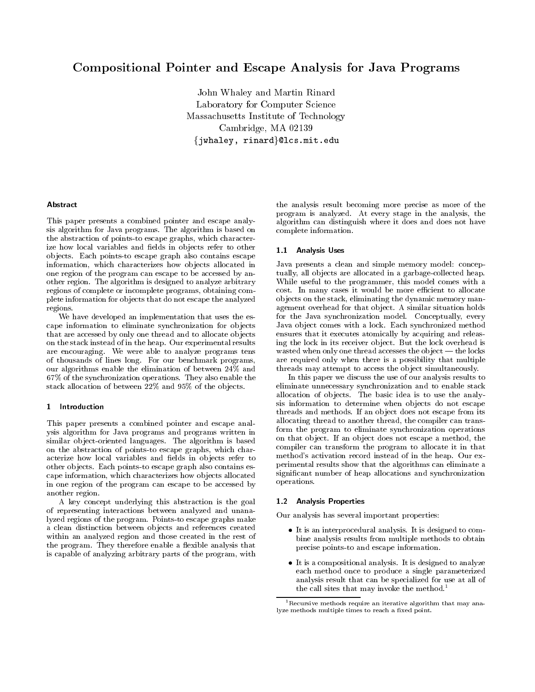# Compositional Pointer and Escape Analysis for Java Programs

John Whaley and Martin Rinard Laboratory for Computer Science Massachusetts Institute of Technology Cambridge, MA 02139  $\{jwhaley, rinard\}$ @lcs.mit.edu

#### Abstract

This paper presents a combined pointer and escape analysis algorithm for Java programs. The algorithm is based on the abstraction of points-to escape graphs, which characterize how local variables and fields in objects refer to other ob jects. Each points-to escape graph also contains escape information, which characterizes how ob jects allocated in one region of the program can escape to be accessed by another region. The algorithm is designed to analyze arbitrary regions of complete or incomplete programs, obtaining complete information for ob jects that do not escape the analyzed regions.

We have developed an implementation that uses the escape information to eliminate synchronization for objects that are accessed by only one thread and to allocate ob jects on the stack instead of in the heap. Our experimental results are encouraging. We were able to analyze programs tens of thousands of lines long. For our benchmark programs, our algorithms enable the elimination of between 24% and 67% of the synchronization operations. They also enable the stack allocation of between 22% and 95% of the objects.

#### 1 Introduction

This paper presents a combined pointer and escape analysis algorithm for Java programs and programs written in similar ob ject-oriented languages. The algorithm is based on the abstraction of points-to escape graphs, which characterize how local variables and fields in objects refer to other ob jects. Each points-to escape graph also contains escape information, which characterizes how ob jects allocated in one region of the program can escape to be accessed by another region.

A key concept underlying this abstraction is the goal of representing interactions between analyzed and unanalyzed regions of the program. Points-to escape graphs make a clean distinction between ob jects and references created within an analyzed region and those created in the rest of the program. They therefore enable a flexible analysis that is capable of analyzing arbitrary parts of the program, with the analysis result becoming more precise as more of the program is analyzed. At every stage in the analysis, the algorithm can distinguish where it does and does not have complete information.

### 1.1 Analysis Uses

Java presents a clean and simple memory model: conceptually, all ob jects are allocated in a garbage-collected heap. While useful to the programmer, this model comes with a cost. In many cases it would be more efficient to allocate ob jects on the stack, eliminating the dynamic memory management overhead for that object. A similar situation holds for the Java synchronization model. Conceptually, every Java ob ject comes with a lock. Each synchronized method ensures that it executes atomically by acquiring and releasing the lock in its receiver ob ject. But the lock overhead is wasted when only one thread accesses the object  $-$  the locks are required only when there is a possibility that multiple threads may attempt to access the ob ject simultaneously.

In this paper we discuss the use of our analysis results to eliminate unnecessary synchronization and to enable stack allocation of ob jects. The basic idea is to use the analysis information to determine when ob jects do not escape threads and methods. If an ob ject does not escape from its allocating thread to another thread, the compiler can transform the program to eliminate synchronization operations on that ob ject. If an ob ject does not escape a method, the compiler can transform the program to allocate it in that method's activation record instead of in the heap. Our experimental results show that the algorithms can eliminate a significant number of heap allocations and synchronization operations.

### 1.2 Analysis Properties

Our analysis has several important properties:

- It is an interprocedural analysis. It is designed to combine analysis results from multiple methods to obtain precise points-to and escape information.
- It is a compositional analysis. It is designed to analyze each method once to produce a single parameterized analysis result that can be specialized for use at all of the call sites that may invoke the method.<sup>1</sup>

<sup>1</sup>Recursive methods require an iterative algorithm that may analyze methods multiple times to reach a fixed point.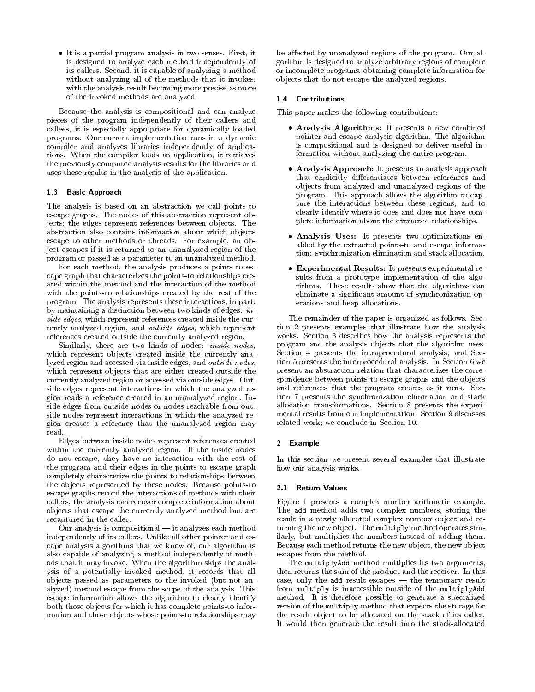It is a partial program analysis in two senses. First, it is designed to analyze each method independently of its callers. Second, it is capable of analyzing a method without analyzing all of the methods that it invokes, with the analysis result becoming more precise as more of the invoked methods are analyzed.

Because the analysis is compositional and can analyze pieces of the program independently of their callers and callees, it is especially appropriate for dynamically loaded programs. Our current implementation runs in a dynamic compiler and analyzes libraries independently of applications. When the compiler loads an application, it retrieves the previously computed analysis results for the libraries and uses these results in the analysis of the application.

# 1.3 Basic Approach

The analysis is based on an abstraction we call points-to escape graphs. The nodes of this abstraction represent objects; the edges represent references between ob jects. The abstraction also contains information about which ob jects escape to other methods or threads. For example, an object escapes if it is returned to an unanalyzed region of the program or passed as a parameter to an unanalyzed method.

For each method, the analysis produces a points-to escape graph that characterizes the points-to relationships created within the method and the interaction of the method with the points-to relationships created by the rest of the program. The analysis represents these interactions, in part, by maintaining a distinction between two kinds of edges: inside edges, which represent references created inside the currently analyzed region, and outside edges, which represent references created outside the currently analyzed region.

Similarly, there are two kinds of nodes: *inside nodes*, which represent objects created inside the currently analyzed region and accessed via inside edges, and outside nodes, which represent ob jects that are either created outside the currently analyzed region or accessed via outside edges. Outside edges represent interactions in which the analyzed region reads a reference created in an unanalyzed region. Inside edges from outside nodes or nodes reachable from outside nodes represent interactions in which the analyzed region creates a reference that the unanalyzed region may

Edges between inside nodes represent references created within the currently analyzed region. If the inside nodes do not escape, they have no interaction with the rest of the program and their edges in the points-to escape graph completely characterize the points-to relationships between the ob jects represented by these nodes. Because points-to escape graphs record the interactions of methods with their callers, the analysis can recover complete information about ob jects that escape the currently analyzed method but are recaptured in the caller.

Our analysis is compositional — it analyzes each method independently of its callers. Unlike all other pointer and escape analysis algorithms that we know of, our algorithm is also capable of analyzing a method independently of methods that it may invoke. When the algorithm skips the analysis of a potentially invoked method, it records that all ob jects passed as parameters to the invoked (but not an alyzed) method escape from the scope of the analysis. This escape information allows the algorithm to clearly identify both those ob jects for which it has complete points-to information and those ob jects whose points-to relationships may

be affected by unanalyzed regions of the program. Our algorithm is designed to analyze arbitrary regions of complete or incomplete programs, obtaining complete information for ob jects that do not escape the analyzed regions.

### 1.4 Contributions

This paper makes the following contributions:

- Analysis Algorithms: It presents a new combined pointer and escape analysis algorithm. The algorithm is compositional and is designed to deliver useful information without analyzing the entire program.
- Analysis Approach: It presents an analysis approach that explicitly differentiates between references and ob jects from analyzed and unanalyzed regions of the program. This approach allows the algorithm to capture the interactions between these regions, and to clearly identify where it does and does not have com plete information about the extracted relationships.
- Analysis Uses: It presents two optimizations en abled by the extracted points-to and escape information: synchronization elimination and stack allocation.
- Experimental Results: It presents experimental results from a prototype implementation of the algorithms. These results show that the algorithms can eliminate a signicant amount of synchronization operations and heap allocations.

The remainder of the paper is organized as follows. Section 2 presents examples that illustrate how the analysis works. Section 3 describes how the analysis represents the program and the analysis ob jects that the algorithm uses. Section 4 presents the intraprocedural analysis, and Section 5 presents the interprocedural analysis. In Section 6 we present an abstraction relation that characterizes the correspondence between points-to escape graphs and the ob jects and references that the program creates as it runs. Section 7 presents the synchronization elimination and stack allocation transformations. Section 8 presents the experi mental results from our implementation. Section 9 discusses related work; we conclude in Section 10.

#### **Example**

In this section we present several examples that illustrate how our analysis works.

#### 2.1 Return Values

Figure 1 presents a complex number arithmetic example. The add method adds two complex numbers, storing the result in a newly allocated complex number ob ject and returning the new ob ject. The multiply method operates similarly, but multiplies the numbers instead of adding them. Because each method returns the new ob ject, the new ob ject escapes from the method.

The multiplyAdd method multiplies its two arguments, then returns the sum of the product and the receiver. In this case, only the add result escapes  $-$  the temporary result from multiply is inaccessible outside of the multiplyAdd method. It is therefore possible to generate a specialized version of the multiply method that expects the storage for the result object to be allocated on the stack of its caller. It would then generate the result into the stack-allocated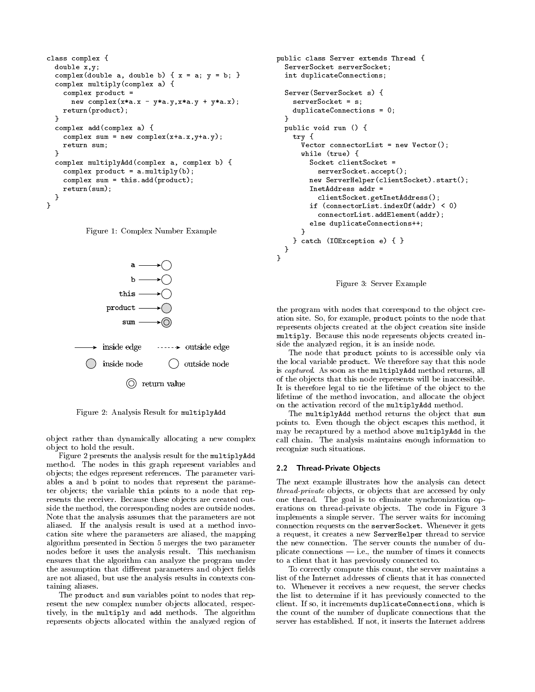```
class complex {
 double x,y;
 complex(double a, double b) { x = a; y = b; }
 complex multiply(complex a) {
    complex product =
     new complex(x*a.x - y*a.y,x*a.y + y*a.x);
    return(product);
  }
 complex add(complex a) {
    complex sum = new complex(x+a.x,y+a.y);
   return sum;
 <u>ጉ</u>
  }
 complex multiplyAdd(complex a, complex b) {
    complex product = a.multiply(b);
    complex sum = this.add(product);
    return(sum);
 }
```


}



Figure 2: Analysis Result for multiplyAdd

ob ject rather than dynamically allocating a new complex ob ject to hold the result.

Figure 2 presents the analysis result for the multiplyAdd method. The nodes in this graph represent variables and ob jects; the edges represent references. The parameter variables a and b point to nodes that represent the parameter ob jects; the variable this points to a node that rep resents the receiver. Because these objects are created outside the method, the corresponding nodes are outside nodes. Note that the analysis assumes that the parameters are not aliased. If the analysis result is used at a method invo cation site where the parameters are aliased, the mapping algorithm presented in Section 5 merges the two parameter nodes before it uses the analysis result. This mechanism ensures that the algorithm can analyze the program under the assumption that different parameters and object fields are not aliased, but use the analysis results in contexts containing aliases.

The product and sum variables point to nodes that rep resent the new complex number objects allocated, respectively, in the multiply and add methods. The algorithm represents ob jects allocated within the analyzed region of

```
public class Server extends Thread {
  ServerSocket serverSocket;
  int duplicateConnections;
  Server(ServerSocket s) {
    serverSocket = s;
    duplicateConnections = 0;
  ι
  }
  public void run () {
    try {
      Vector connectorList = new Vector();
      while (true) {
        Socket clientSocket =
          serverSocket.accept();
        new ServerHelper(clientSocket).start();
        InetAddress addr =
          clientSocket.getInetAddress();
        if (connectorList.indexOf(addr) < 0)
          connectorList.addElement(addr);
        else duplicateConnections++;
      \mathbf{r}}
    } catch (IOException e) { }
 }
}
```


the program with nodes that correspond to the ob ject creation site. So, for example, product points to the node that represents ob jects created at the ob ject creation site inside multiply. Because this node represents ob jects created inside the analyzed region, it is an inside node.

The node that product points to is accessible only via the local variable product. We therefore say that this node is captured. As soon as the multiplyAdd method returns, all of the ob jects that this node represents will be inaccessible. It is therefore legal to tie the lifetime of the ob ject to the lifetime of the method invocation, and allocate the ob ject on the activation record of the multiplyAdd method.

The multiplyAdd method returns the object that sum points to. Even though the ob ject escapes this method, it may be recaptured by a method above multiplyAdd in the call chain. The analysis maintains enough information to recognize such situations.

## 2.2 Thread-Private Objects

The next example illustrates how the analysis can detect thread-private objects, or objects that are accessed by only one thread. The goal is to eliminate synchronization operations on thread-private objects. The code in Figure 3 implements a simple server. The server waits for incoming connection requests on the serverSocket. Whenever it gets a request, it creates a new ServerHelper thread to service the new connection. The server counts the number of duplicate connections  $-$  i.e., the number of times it connects to a client that it has previously connected to.

To correctly compute this count, the server maintains a list of the Internet addresses of clients that it has connected to. Whenever it receives a new request, the server checks the list to determine if it has previously connected to the client. If so, it increments duplicateConnections, which is the count of the number of duplicate connections that the server has established. If not, it inserts the Internet address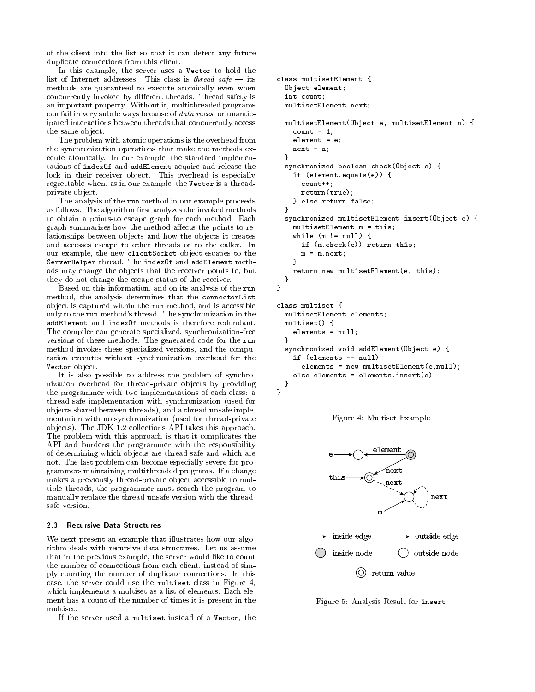of the client into the list so that it can detect any future duplicate connections from this client.

In this example, the server uses a Vector to hold the list of Internet addresses. This class is thread safe  $-$  its methods are guaranteed to execute atomically even when concurrently invoked by different threads. Thread safety is an important property. Without it, multithreaded programs can fail in very subtle ways because of data races, or unanticipated interactions between threads that concurrently access the same ob ject.

The problem with atomic operations is the overhead from the synchronization operations that make the methods execute atomically. In our example, the standard implementations of indexOf and addElement acquire and release the lock in their receiver object. This overhead is especially regrettable when, as in our example, the Vector is a threadprivate ob ject.

The analysis of the run method in our example proceeds as follows. The algorithm first analyzes the invoked methods to obtain a points-to escape graph for each method. Each graph summarizes how the method affects the points-to relationships between ob jects and how the ob jects it creates and accesses escape to other threads or to the caller. In our example, the new clientSocket object escapes to the ServerHelper thread. The indexOf and addElement methods may change the ob jects that the receiver points to, but they do not change the escape status of the receiver.

Based on this information, and on its analysis of the run method, the analysis determines that the connectorList ob ject is captured within the run method, and is accessible only to the run method's thread. The synchronization in the addElement and indexOf methods is therefore redundant. The compiler can generate specialized, synchronization-free versions of these methods. The generated code for the run method invokes these specialized versions, and the computation executes without synchronization overhead for the Vector ob ject.

It is also possible to address the problem of synchronization overhead for thread-private objects by providing the programmer with two implementations of each class: a thread-safe implementation with synchronization (used for ob jects shared between threads), and a thread-unsafe imple mentation with no synchronization (used for thread-private ob jects). The JDK 1.2 collections API takes this approach. The problem with this approach is that it complicates the API and burdens the programmer with the responsibility of determining which ob jects are thread safe and which are not. The last problem can become especially severe for programmers maintaining multithreaded programs. If a change makes a previously thread-private object accessible to multiple threads, the programmer must search the program to manually replace the thread-unsafe version with the threadsafe version.

We next present an example that illustrates how our algorithm deals with recursive data structures. Let us assume that in the previous example, the server would like to count the number of connections from each client, instead of simply counting the number of duplicate connections. In this case, the server could use the multiset class in Figure 4, which implements a multiset as a list of elements. Each element has a count of the number of times it is present in the multiset.

If the server used a multiset instead of a Vector, the

```
class multisetElement {
  Object element;
  int count;
  multisetElement next;
  multisetElement(Object e, multisetElement n) {
    count = 1;
    element = e;
   next = n;\mathbf{r}}
  synchronized boolean check(Object e) {
    if (element.equals(e)) {
      count++;
      return(true);
    } else return false;
  <sup>}</sup>
  }
  synchronized multisetElement insert(Object e) {
    multisetElement m = this;
    while (m != null) {
      if (m.check(e)) return this;
      m = m.next:
      m = m.next;
    ł
    }
   return new multisetElement(e, this);
  }
}
class multiset {
  multisetElement elements;
  multiset() {
    elements = null;
  \mathbf{r}}
  synchronized void addElement(Object e) {
    if (elements == null)
      elements = new multisetElement(e,null);
    else elements = elements.insert(e);
  }
}
```




Figure 5: Analysis Result for insert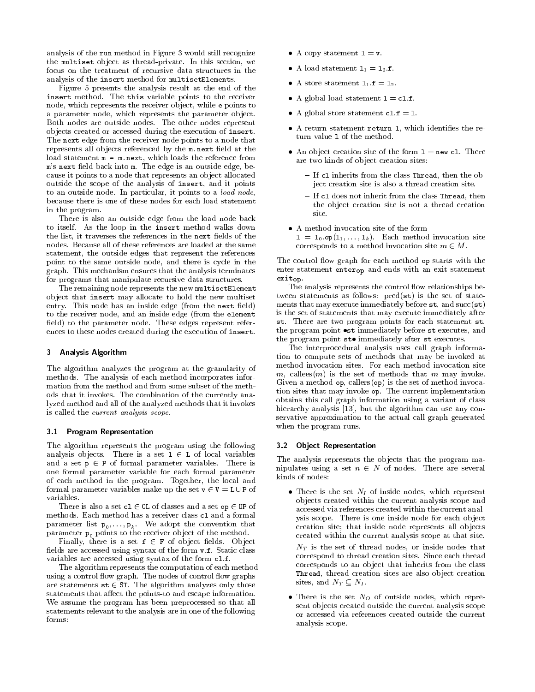analysis of the run method in Figure 3 would still recognize the multiset ob ject as thread-private. In this section, we focus on the treatment of recursive data structures in the analysis of the insert method for multisetElements.

Figure 5 presents the analysis result at the end of the insert method. The this variable points to the receiver node, which represents the receiver ob ject, while e points to a parameter node, which represents the parameter object. Both nodes are outside nodes. The other nodes represent ob jects created or accessed during the execution of insert. The next edge from the receiver node points to a node that represents all objects referenced by the m.next field at the load statement m = m.next, which loads the reference from m's next field back into m. The edge is an outside edge, because it points to a node that represents an ob ject allocated outside the scope of the analysis of insert, and it points to an outside node. In particular, it points to a load node, because there is one of these nodes for each load statement in the program.

There is also an outside edge from the load node back to itself. As the loop in the insert method walks down the list, it traverses the references in the next fields of the nodes. Because all of these references are loaded at the same statement, the outside edges that represent the references point to the same outside node, and there is cycle in the graph. This mechanism ensures that the analysis terminates for programs that manipulate recursive data structures.

The remaining node represents the new multisetElement ob ject that insert may allocate to hold the new multiset entry. This node has an inside edge (from the next field) to the receiver node, and an inside edge (from the element field) to the parameter node. These edges represent references to these nodes created during the execution of insert.

### 3 Analysis Algorithm

The algorithm analyzes the program at the granularity of methods. The analysis of each method incorporates information from the method and from some subset of the methods that it invokes. The combination of the currently analyzed method and all of the analyzed methods that it invokes is called the current analysis scope.

# 3.1 Program Representation

The algorithm represents the program using the following analysis objects. There is a set  $1 \in L$  of local variables and a set  $p \in P$  of formal parameter variables. There is one formal parameter variable for each formal parameter of each method in the program. Together, the local and formal parameter variables make up the set  $v \in V = L \cup P$  of variables.

There is also a set  $c1 \in CL$  of classes and a set op  $\in OP$  of methods. Each method has a receiver class cl and a formal parameter is the convention that  $\mathbf{r}$  is the convention that the convention that  $\mathbf{r}$ parameter p <sup>0</sup> points to the receiver ob ject of the method.

Finally, there is a set  $f \in F$  of object fields. Object fields are accessed using syntax of the form v.f. Static class variables are accessed using syntax of the form cl:f.

The algorithm represents the computation of each method using a control flow graph. The nodes of control flow graphs are statements  $st \in ST$ . The algorithm analyzes only those statements that affect the points-to and escape information. We assume the program has been preprocessed so that all statements relevant to the analysis are in one of the following forms:

- $\bullet$  A copy statement  $\texttt{l} = \texttt{v}$ .
- $\bullet$  A load statement  $\textbf{1}_1 = \textbf{1}_2.\textbf{1}$ .
- A store statement  $1_1$   $\mathbf{r} = 1_2$  .
- $\bullet$  A global load statement  $\texttt{1} = \texttt{c1.t.}$
- $\bullet$  A global store statement cl.f  $=$  1.
- $\bullet\,$  A return statement return 1, which identifies the return value l of the method.
- $\bullet$  An object creation site of the form  $1 = \texttt{new}$  cl. There are two kinds of ob ject creation sites:
	- $-$  If c1 inherits from the class Thread, then the object creation site is also a thread creation site.
	- If c1 does not inherit from the class Thread, then the ob ject creation site is not a thread creation site.
- $\bullet$  A method invocation site of the form  $1 = 1_0 \cdot op(1_1, \ldots, 1_k)$ . Each method invocation site corresponds to a method invocation site  $m \in M$ .

The control flow graph for each method op starts with the enter statement enterop and ends with an exit statement exitop.

The analysis represents the control flow relationships between statements as follows: pred(st) is the set of state ments that may execute immediately before st, and succ(st) is the set of statements that may execute immediately after st. There are two program points for each statement st, the program point  $\bullet$ st immediately before st executes, and the program point sto immediately after st executes.

The interprocedural analysis uses call graph information to compute sets of methods that may be invoked at method invocation sites. For each method invocation site m, callees  $(m)$  is the set of methods that m may invoke. Given a method op, callers(op) is the set of method invoca tion sites that may invoke op. The current implementation obtains this call graph information using a variant of class hierarchy analysis [13], but the algorithm can use any con servative approximation to the actual call graph generated when the program runs.

# 3.2 Object Representation

The analysis represents the objects that the program manipulates using a set  $n \in N$  of nodes. There are several kinds of nodes:

- $\bullet$  lnere is the set  $N_I$  of inside nodes, which represent ob jects created within the current analysis scope and accessed via references created within the current analysis scope. There is one inside node for each ob ject creation site; that inside node represents all ob jects created within the current analysis scope at that site.
- $N_T$  is the set of thread nodes, or inside nodes that correspond to thread creation sites. Since each thread corresponds to an ob ject that inherits from the class Thread, thread creation sites are also ob ject creation sites, and  $N_T \subseteq N_I$ .
- $\bullet$  lnere is the set  $N_O$  of outside nodes, which represent ob jects created outside the current analysis scope or accessed via references created outside the current analysis scope.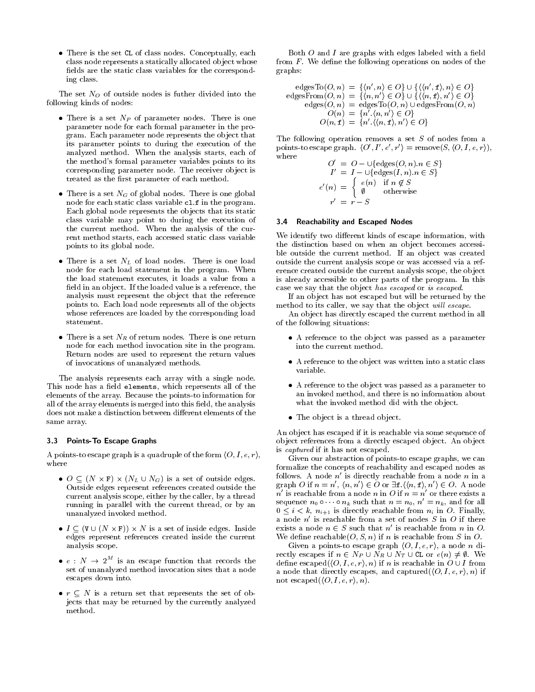$\bullet$  There is the set CL of class nodes. Conceptually, each class node represents a statically allocated ob ject whose fields are the static class variables for the corresponding class.

The set  $N_O$  of outside nodes is futher divided into the following kinds of nodes:

- $\bullet$  linere is a set  $N_P$  or parameter nodes. There is one parameter node for each formal parameter in the program. Each parameter node represents the ob ject that its parameter points to during the execution of the analyzed method. When the analysis starts, each of where the method's formal parameter variables points to its corresponding parameter node. The receiver ob ject is treated as the first parameter of each method.
- $\bullet$  There is a set  $N_G$  of global nodes. There is one global node for each static class variable cl:f in the program. Each global node represents the ob jects that its static class variable may point to during the execution of the current method. When the analysis of the cur rent method starts, each accessed static class variable points to its global node.
- $\bullet$  linere is a set  $N_L$  of load nodes. There is one load  $\qquad$  out node for each load statement in the program. When the load statement executes, it loads a value from a field in an object. If the loaded value is a reference, the analysis must represent the ob ject that the reference points to. Each load node represents all of the ob jects whose references are loaded by the corresponding load statement.
- $\bullet$  There is a set TVR of return nodes. There is one return  $\bullet$ node for each method invocation site in the program. Return nodes are used to represent the return values of invocations of unanalyzed methods.

The analysis represents each array with a single node. This node has a field elements, which represents all of the elements of the array. Because the points-to information for all of the array elements is merged into this field, the analysis does not make a distinction between different elements of the same array.

#### $3.3$ Points-To Escape Graphs

A points-to escape graph is a quadruple of the form  $\langle O, I, e, r \rangle$ , where

- $\bullet$   $\cup$   $\cup$   $(N \times r) \times (N_L \cup N_G)$  is a set of outside edges. Outside edges represent references created outside the current analysis scope, either by the caller, by a thread running in parallel with the current thread, or by an unanalyzed invoked method.
- $\bullet$   $I \subseteq (V \cup (N \times F)) \times N$  is a set of inside edges. Inside e. edges represent references created inside the current analysis scope.
- $e : N \to Z$  is an escape function that records the  $A$ set of unanalyzed method invocation sites that a node escapes down into.
- $\bullet$   $r$   $\subseteq$   $N$  is a return set that represents the set of objects that may be returned by the currently analyzed method.

Both  $O$  and  $I$  are graphs with edges labeled with a field from  $F$ . We define the following operations on nodes of the graphs: edgesTo(*O*, *n*) = { $n^2$ ,  $n^3$   $\in$  *O*}  $\cup$  { $((n^r, f), n) \in O$ }

$$
\begin{array}{rl} \mathrm{edgesTo}(O,n) & = \ \{ \langle n',n \rangle \in O \} \cup \{ \langle \langle n',\mathbf{f} \rangle,n \rangle \in O \} \\ \mathrm{edgesFrom}(O,n) & = \ \{ \langle n,n' \rangle \in O \} \cup \{ \langle \langle n,\mathbf{f} \rangle,n' \rangle \in O \} \\ \mathrm{edges}(O,n) & = \ \mathrm{edgesTo}(O,n) \cup \mathrm{edgesFrom}(O,n) \\ O(n) & = \ \{ n'.\langle n,n' \rangle \in O \} \\ O(n,\mathbf{f}) & = \ \{ n'.\langle \langle n,\mathbf{f} \rangle,n' \rangle \in O \} \end{array}
$$

The following operation removes a set  $S$  of nodes from a points-to escape graph.  $\langle O', I', e', r' \rangle$  = remove(S;  $\langle O, I, e, r \rangle$ ),<br>where  $O' = O - \bigcup \{ \text{edges}(O, n), n \in S \}$ 

$$
O' = O - \bigcup \{ \text{edges}(O, n) \mid n \in S \}
$$
  
\n
$$
I' = I - \bigcup \{ \text{edges}(I, n) \mid n \in S \}
$$
  
\n
$$
e'(n) = \begin{cases} e(n) & \text{if } n \notin S \\ \emptyset & \text{otherwise} \end{cases}
$$
  
\n
$$
r' = r - S
$$

### 3.4 Reachability and Escaped Nodes

We identify two different kinds of escape information, with the distinction based on when an ob ject becomes accessible outside the current method. If an object was created outside the current analysis scope or was accessed via a reference created outside the current analysis scope, the ob ject is already accessible to other parts of the program. In this case we say that the object has escaped or is escaped.

If an ob ject has not escaped but will be returned by the method to its caller, we say that the object will escape.

An ob ject has directly escaped the current method in all of the following situations:

- A reference to the ob ject was passed as a parameter into the current method.
- A reference to the ob ject was written into a static class variable.
- A reference to the ob ject was passed as a parameter to an invoked method, and there is no information about what the invoked method did with the object.
- $\bullet$  the object is a thread object.

An ob ject has escaped if it is reachable via some sequence of ob ject references from a directly escaped ob ject. An ob ject is captured if it has not escaped.

Given our abstraction of points-to escape graphs, we can formalize the concepts of reachability and escaped nodes as follows. A node  $n$  is directly reachable from a node  $n$  in a  $\hspace{0.1mm}$ formalize the concepts of reachability and escaped nodes as<br>follows. A node n' is directly reachable from a node n in a<br>graph O if  $n = n'$ ,  $\langle n, n' \rangle \in O$  or  $\exists f. (\langle n, f \rangle, n') \in O$ . A node  $n'$  is reachable from a node n in O if  $n = n'$  or there exists a sequence  $n_0 \circ \cdots \circ n_k$  such that  $n = n_0$ ,  $n' = n_k$ , and for all  $0 \leq i \leq k$ ,  $n_{i+1}$  is directly reachable from  $n_i$  in O. Finally, a node  $n'$  is reachable from a set of nodes  $S$  in  $O$  if there exists a node  $n \in S$  such that n' is reachable from n in O. We define reachable  $(0, S, n)$  if n is reachable from S in O.

Given a points-to escape graph  $\langle O, I, e, r \rangle$ , a node *n* directly escapes if  $n \in N_P \cup N_R \cup N_T \cup CL$  or  $e(n) \neq \emptyset$ . We define escaped( $\langle O, I, e, r \rangle$ , n) if n is reachable in  $O \cup I$  from a node that directly escapes, and captured $((O, I, e, r), n)$  if not escaped $((O, I, e, r), n)$ .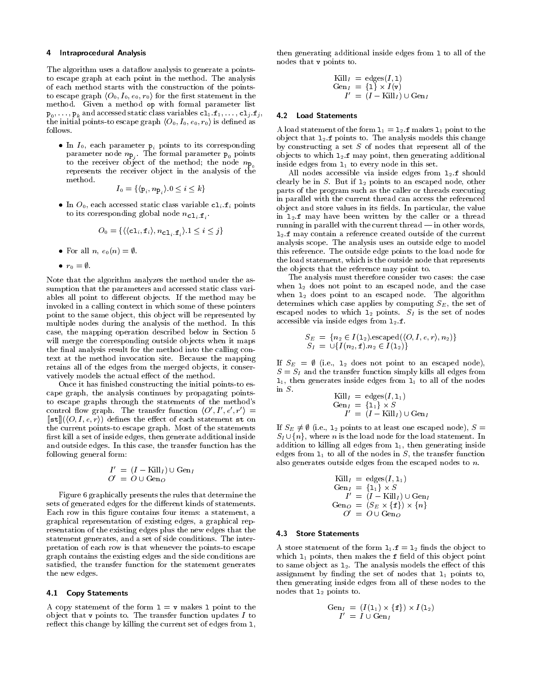#### 4 Intraprocedural Analysis

The algorithm uses a dataflow analysis to generate a pointsto escape graph at each point in the method. The analysis of each method starts with the construction of the pointsto escape graph  $\langle O_0, I_0, e_0, r_0 \rangle$  for the first statement in the method. Given a method op with formal parameter list p;:::; p;; p;;; clicassed static class variables clicit;:::; clj :fj;; clic the initial points-to escape graph  $\langle O_0, I_0, e_0, r_0 \rangle$  is defined as follows.

• In  $I_0$ , each parameter  $\mathbf{p}_i$  points to its corresponding by parameter node np . The formal parameter p <sup>0</sup> points to the receiver object of the method; the node  $n_{\text{D}_{\text{c}}}$  in <sup>0</sup> represents the receiver ob ject in the analysis of the method.  $\epsilon$ 

$$
I_0 = \{ \langle \mathbf{p}_i, n_{\mathbf{p}_i} \rangle \, 0 \le i \le k \}
$$

 $\bullet$  In  $\mathcal{O}_0$ , each accessed static class variable  $\mathsf{c}\texttt{1}_i$ . If points . The iteration is considered to the node of  $\mathsf{CL}_i$  :  $\mathsf{L}_i$ 

$$
O_0 = \{ \langle \langle \mathtt{cl}_i, \mathtt{f}_i \rangle, n_{\mathtt{cl}_i, \mathtt{f}_i} \rangle \, 1 \leq i \leq j \}
$$

- For all  $n, e_0(n) = \varnothing$ .
- $r_0 = v$ .

Note that the algorithm analyzes the method under the assumption that the parameters and accessed static class variables all point to different objects. If the method may be invoked in a calling context in which some of these pointers point to the same ob ject, this ob ject will be represented by multiple nodes during the analysis of the method. In this case, the mapping operation described below in Section 5 will merge the corresponding outside objects when it maps the final analysis result for the method into the calling context at the method invocation site. Because the mapping retains all of the edges from the merged ob jects, it conser vatively models the actual effect of the method.

Once it has finished constructing the initial points-to escape graph, the analysis continues by propagating pointsto escape graphs through the statements of the method's control flow graph. The transfer function  $\langle O', I', e', r' \rangle =$  $[\![$ st $]\!](\langle O, I, e, r \rangle)$  defines the effect of each statement st on the current points-to escape graph. Most of the statements and outside edges. In this case, the transfer function has the following general form:

$$
I' = (I - \text{Kill}_I) \cup \text{Gen}_I
$$
  

$$
O' = O \cup \text{Gen}_O
$$

Figure 6 graphically presents the rules that determine the sets of generated edges for the different kinds of statements. Each row in this figure contains four items: a statement, a graphical representation of existing edges, a graphical rep resentation of the existing edges plus the new edges that the statement generates, and a set of side conditions. The interpretation of each row is that whenever the points-to escape graph contains the existing edges and the side conditions are satisfied, the transfer function for the statement generates the new edges.

### 4.1 Copy Statements

A copy statement of the form  $1 = v$  makes 1 point to the object that  $v$  points to. The transfer function updates  $I$  to reflect this change by killing the current set of edges from 1, then generating additional inside edges from l to all of the nodes that v points to.

Kill<sub>I</sub> = edges(
$$
I
$$
, 1)  
Gen<sub>I</sub> = {1} ×  $I$ ( $\mathbf{v}$ )  
 $I' = (I - Kill_I) \cup Gen_I$ 

### 4.2 Load Statements

A load statement of the form  $1_1 = 1_2$ . f makes  $1_1$  point to the object that  $1_2$ . f points to. The analysis models this change by constructing a set <sup>S</sup> of nodes that represent all of the objects to which  $l_2$ : f may point, then generating additional inside edges from  $1<sub>1</sub>$  to every node in this set.

All nodes accessible via inside edges from  $1_2$ .f should clearly be in  $S$ . But if  $1<sub>2</sub>$  points to an escaped node, other parts of the program such as the caller or threads executing in parallel with the current thread can access the referenced object and store values in its fields. In particular, the value in l2:f may have been written by the caller or a thread running in parallel with the current thread  $-$  in other words, l2:f may contain a reference created outside of the current analysis scope. The analysis uses an outside edge to model this reference. The outside edge points to the load node for the load statement, which is the outside node that represents the ob jects that the reference may point to.

The analysis must therefore consider two cases: the case when  $1<sub>2</sub>$  does not point to an escaped node, and the case when  $1_2$  does point to an escaped node. The algorithm determines which case applies by computing  $S_E$ , the set of escaped nodes to which  $1_2$  points.  $S_I$  is the set of nodes accessible via inside edges from  $l_2$ .f.

$$
S_E = \{n_2 \in I(1_2).\text{escaped}(\langle O, I, e, r \rangle, n_2)\}
$$
  
\n
$$
S_I = \bigcup \{I(n_2, f).n_2 \in I(1_2)\}
$$

If  $S_E = \emptyset$  (i.e., 12 does not point to an escaped node),  $S = S<sub>I</sub>$  and the transfer function simply kills all edges from  $1<sub>1</sub>$ , then generates inside edges from  $1<sub>1</sub>$  to all of the nodes in S.

$$
\text{Kill}_I = \text{edges } (I, 1_1)
$$
\n
$$
\text{Gen}_I = \{1_1\} \times S
$$
\n
$$
I' = (I - \text{Kill}_I) \cup \text{Gen}_I
$$

first kill a set of inside edges, then generate additional inside  $S_I \cup \{n\}$ , where n is the load node for the load statement. In If  $S_E \neq \emptyset$  (i.e., 12 points to at least one escaped node),  $S =$  $I = (I - \text{Kil}I) \cup \text{Gell}I$ <br>If  $S_E \neq \emptyset$  (i.e., 1<sub>2</sub> points to at least one escaped node),  $S = S_I \cup \{n\}$ , where *n* is the load node for the load statement. In addition to killing all edges from  $1<sub>1</sub>$ , then generating inside edges from  $1_1$  to all of the nodes in S, the transfer function also generates outside edges from the escaped nodes to n.

$$
KillI = edges(I, 11)
$$
  
\n
$$
GenI = {11} × S
$$
  
\n
$$
I' = (I - KillI) \cup GenI
$$
  
\n
$$
GenO = (SE × {f}) × {n}
$$
  
\n
$$
O' = O \cup GenO
$$

#### 4.3 Store Statements

A store statement of the form  $1_1 \cdot f = 1_2$  finds the object to which  $1<sub>1</sub>$  points, then makes the f field of this object point to same object as  $1_2$ . The analysis models the effect of this assignment by finding the set of nodes that  $1<sub>1</sub>$  points to, then generating inside edges from all of these nodes to the nodes that  $l_2$  points to.  $\{f\}$   $\times$   $I(1_2)$ 

$$
\begin{array}{rl} \text{Gen}_I & = & (I(1_1) \times \{\texttt{f}\}) \times I(1_2) \\ & I' & = & I \cup \text{Gen}_I \end{array}
$$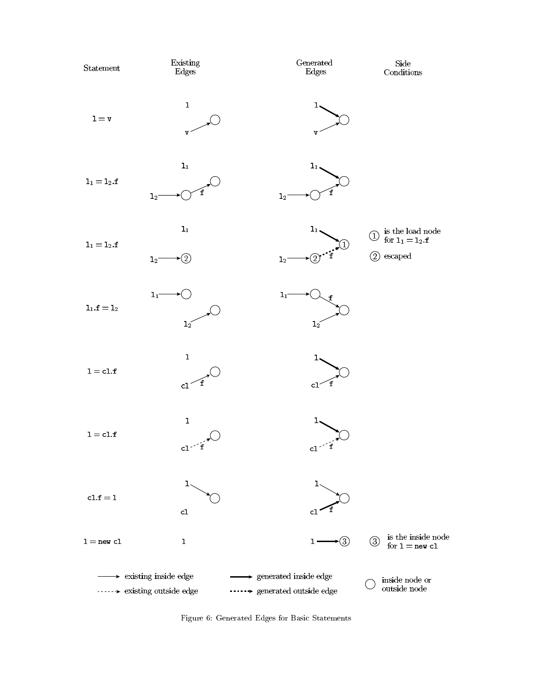

Figure 6: Generated Edges for Basic Statements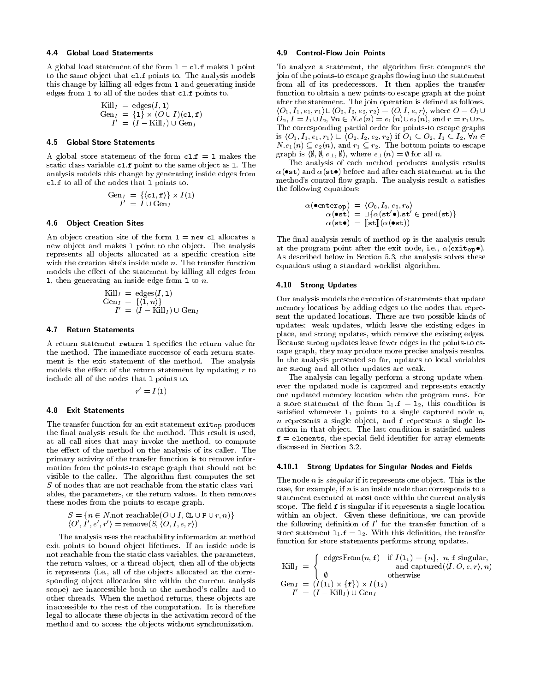#### Global Load Statements 44

A global load statement of the form  $l = c_l$ . If makes l point to the same ob ject that cl:f points to. The analysis models this change by killing all edges from l and generating inside

edges from 1 to all of the nodes that 
$$
cl.f
$$
 points to.  $Kill_I = edges(I,1)$ \n
$$
Gen_I = \{1\} \times (O \cup I)(cl,f)
$$
\n
$$
I' = (I - Kill_I) \cup Gen_I
$$

# 4.5 Global Store Statements

A global store statement of the form  $c1.f = 1$  makes the static class variable cl:f point to the same ob ject as l. The analysis models this change by generating inside edges from cl:f to all of the nodes that l points to. film change by generating inside equals to:<br>  $Gen_I = \{(c1, f)\} \times I(1)$ 

$$
\begin{array}{rl}\text{Gen}_I &= \{ \langle \texttt{cl}, \texttt{f} \rangle \} \times I(1) \\ I' &= I \cup \text{Gen}_I \end{array}
$$

#### 4.6 Object Creation Sites

An object creation site of the form  $1 = new$  cl allocates a new object and makes 1 point to the object. The analysis represents all objects allocated at a specific creation site with the creation site's inside node  $n$ . The transfer function models the effect of the statement by killing all edges from l, then generating an inside edge from l to n.

$$
KillI = edges(I, 1)
$$
  
Gen<sub>I</sub> = {(1, n)}  
I' = (I - Kill<sub>I</sub>)  $\cup$  Gen<sub>I</sub>

#### 47 Return Statements

A return statement return 1 specifies the return value for the method. The immediate successor of each return state ment is the exit statement of the method. The analysis models the effect of the return statement by updating  $r$  to include all of the nodes that l points to.

$$
r'=I(1)
$$

#### 48 **Exit Statements**

The transfer function for an exit statement exitop produces the final analysis result for the method. This result is used, at all call sites that may invoke the method, to compute the effect of the method on the analysis of its caller. The primary activity of the transfer function is to remove information from the points-to escape graph that should not be visible to the caller. The algorithm first computes the set S of nodes that are not reachable from the static class variables, the parameters, or the return values. It then removes these nodes from the points-to escape graph.

$$
S = \{n \in N.\text{not reachable}(O \cup I, CL \cup P \cup r, n)\}
$$
  

$$
\langle O', I', e', r' \rangle = \text{remove}(S, \langle O, I, e, r \rangle)
$$

The analysis uses the reachability information at method exit points to bound ob ject lifetimes. If an inside node is not reachable from the static class variables, the parameters, the return values, or a thread object, then all of the objects it represents (i.e., all of the objects allocated at the corresponding ob ject allocation site within the current analysis scope) are inaccessible both to the method's caller and to other threads. When the method returns, these ob jects are inaccessible to the rest of the computation. It is therefore legal to allocate these ob jects in the activation record of the method and to access the ob jects without synchronization.

# 4.9 Control-Flow Join Points

To analyze a statement, the algorithm first computes the join of the points-to escape graphs flowing into the statement from all of its predecessors. It then applies the transfer function to obtain a new points-to escape graph at the point after the statement. The join operation is defined as follows.  $\langle O_1, I_1, e_1, r_1 \rangle \sqcup \langle O_2, I_2, e_2, r_2 \rangle = \langle O, I, e, r \rangle$ , where  $O = O_1 \cup$  $O_2$ ,  $I = I_1 \cup I_2$ ,  $\forall n \in N$   $e(n) = e_1(n) \cup e_2(n)$ , and  $r = r_1 \cup r_2$ . The corresponding partial order for points-to escape graphs is  $\langle O_1, I_1, e_1, r_1 \rangle \sqsubseteq \langle O_2, I_2, e_2, r_2 \rangle$  if  $O_1 \subseteq O_2$ ,  $I_1 \subseteq I_2$ ,  $\forall n \in \mathbb{Z}$  $N.e_1(n) \subseteq e_2(n)$ , and  $r_1 \subseteq r_2$ . The bottom points-to escape graph is  $\langle \emptyset, \emptyset, e_{\perp}, \emptyset \rangle$ , where  $e_{\perp}(n) = \emptyset$  for all n.

The analysis of each method produces analysis results  $\alpha(\bullet \text{st})$  and  $\alpha(\text{st})$  before and after each statement st in the method's control flow graph. The analysis result  $\alpha$  satisfies the following equations:

$$
\alpha(\texttt{center}_\texttt{op}) = \langle O_0, I_0, e_0, r_0 \rangle \n\alpha(\texttt{est}) = \sqcup{\alpha(\texttt{st}'\bullet)}.\texttt{st}' \in \texttt{pred}(\texttt{st}) \n\alpha(\texttt{st}\bullet) = [\texttt{st}](\alpha(\texttt{est}))
$$

The final analysis result of method op is the analysis result at the program point after the exit node, i.e.,  $\alpha$ (exit<sub>op</sub>.). As described below in Section 5.3, the analysis solves these equations using a standard worklist algorithm.

### 4.10 Strong Updates

Our analysis models the execution of statements that update memory locations by adding edges to the nodes that repre sent the updated locations. There are two possible kinds of updates: weak updates, which leave the existing edges in place, and strong updates, which remove the existing edges. Because strong updates leave fewer edges in the points-to escape graph, they may produce more precise analysis results. In the analysis presented so far, updates to local variables are strong and all other updates are weak.

The analysis can legally perform a strong update when ever the updated node is captured and represents exactly one updated memory location when the program runs. For a store statement of the form  $1_1.f = 1_2$ , this condition is satisfied whenever  $1_1$  points to a single captured node n, n represents a single object, and f represents a single location in that object. The last condition is satisfied unless  $f =$  elements, the special field identifier for array elements discussed in Section 3.2.

# 4.10.1 Strong Updates for Singular Nodes and Fields

The node  $n$  is *singular* if it represents one object. This is the case, for example, if  $n$  is an inside node that corresponds to a statement executed at most once within the current analysis scope. The field f is singular if it represents a single location within an object. Given these definitions, we can provide the following definition of  $I$  for the transfer function of a  $\,$ store statement  $1_1.f = 1_2$ . With this definition, the transfer function for store statements performs strong updates.

$$
\text{Kill}_{I} = \begin{cases}\n\text{edgesFrom}(n, \mathbf{f}) & \text{if } I(1_1) = \{n\}, n, \mathbf{f} \text{ singular}, \\
\emptyset & \text{and captured}(\langle I, O, e, r \rangle, n) \\
\emptyset & \text{otherwise}\n\end{cases}
$$
\n
$$
\text{Gen}_{I} = \begin{cases}\nI(1_1) \times \{\mathbf{f}\} \times I(1_2) \\
I' = (I - \text{Kill}_{I}) \cup \text{Gen}_{I}\n\end{cases}
$$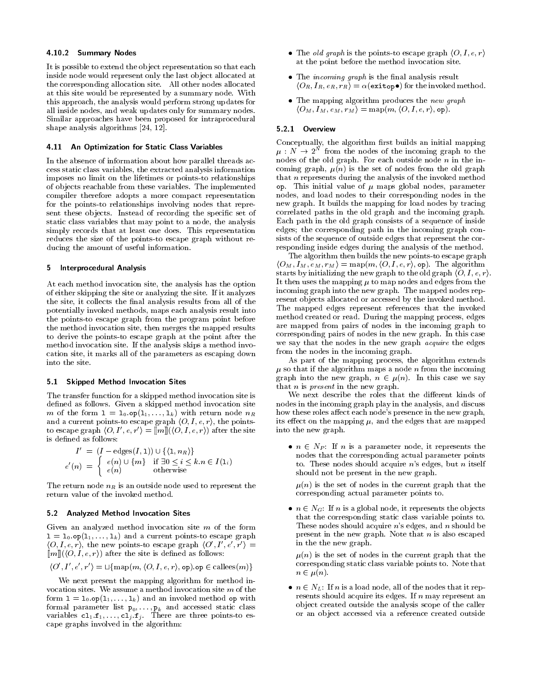### 4.10.2 Summary Nodes

It is possible to extend the ob ject representation so that each inside node would represent only the last ob ject allocated at the corresponding allocation site. All other nodes allocated at this site would be represented by a summary node. With this approach, the analysis would perform strong updates for all inside nodes, and weak updates only for summary nodes. Similar approaches have been proposed for intraprocedural shape analysis algorithms [24, 12].

### 4.11 An Optimization for Static Class Variables

In the absence of information about how parallel threads access static class variables, the extracted analysis information imposes no limit on the lifetimes or points-to relationships of ob jects reachable from these variables. The implemented compiler therefore adopts a more compact representation for the points-to relationships involving nodes that repre sent these objects. Instead of recording the specific set of static class variables that may point to a node, the analysis simply records that at least one does. This representation reduces the size of the points-to escape graph without re ducing the amount of useful information.

#### 5 Interprocedural Analysis 5

At each method invocation site, the analysis has the option of either skipping the site or analyzing the site. If it analyzes the site, it collects the final analysis results from all of the potentially invoked methods, maps each analysis result into the points-to escape graph from the program point before the method invocation site, then merges the mapped results to derive the points-to escape graph at the point after the method invocation site. If the analysis skips a method invo cation site, it marks all of the parameters as escaping down into the site.

#### 5.1 Skipped Method Invocation Sites

The transfer function for a skipped method invocation site is defined as follows. Given a skipped method invocation site m of the form  $1 = 1_0 \cdot op(1_1, \ldots, 1_k)$  with return node  $n_R$ and a current points-to escape graph  $\langle O, I, e, r \rangle$ , the pointsto escape graph  $\langle O, I', e, r' \rangle = \|m\| (\langle O, I, e, r \rangle)$  after the site<br>is defined as follows:<br> $I' = (I - \text{edges}(I,1)) \cup \{\langle 1, n_R \rangle\}$ 

$$
I' = (I - \text{edges}(I,1)) \cup \{(1, n_R)\}
$$
  

$$
e'(n) = \begin{cases} e(n) \cup \{m\} & \text{if } \exists 0 \le i \le k. n \in I(1_i) \\ e(n) & \text{otherwise} \end{cases}
$$

The return node  $n_R$  is an outside node used to represent the return value of the invoked method.

### 5.2 Analyzed Method Invocation Sites

Given an analyzed method invocation site <sup>m</sup> of the form  $1 = 1_0 \cdot op(1_1, \ldots, 1_k)$  and a current points-to escape graph  $\langle O, I, e, r \rangle$ , the new points-to escape graph  $\langle O', I', e', r' \rangle =$  $\llbracket m \rrbracket (\langle O, I, e, r \rangle)$  after the site is defined as follows:

$$
\langle O', I', e', r' \rangle = \sqcup \{ \operatorname{map}(m, \langle O, I, e, r \rangle, \operatorname{op}) \cdot \operatorname{op} \in \operatorname{calles}(m) \}
$$

We next present the mapping algorithm for method in vocation sites. We assume a method invocation site <sup>m</sup> of the form  $1 = 1_0 \cdot op(1_1, \ldots, 1_k)$  and an invoked method op with formal parameter in the  $\mathbf{r}$   $\mathbf{0}$  ; ; ; ;  $\mathbf{r}$   $\mathbf{k}$  and a construction static classes variables  $cl_1.f_1,\ldots, cl_j.f_j$ . There are three points-to escape graphs involved in the algorithm:

- $\bullet$  The *old graph* is the points-to escape graph  $(U, I, e, r)$ at the point before the method invocation site.
- $\bullet$  The  $\it{inconning}$  graph is the final analysis result  $\langle O_R, I_R, e_R, r_R \rangle = \alpha$  (exit<sub>op</sub>) for the invoked method.
- $\bullet$  The mapping algorithm produces the new graph  $\langle O_M, I_M, e_M, r_M \rangle = \text{map}(m, \langle O, I, e, r \rangle, \text{op}).$

# 5.2.1 Overview

 $\mu : N \rightarrow 2^N$  from the nodes of the incoming graph to the nodes of the old graph. For each outside node  $n$  in the incoming graph,  $\mu(n)$  is the set of nodes from the old graph that <sup>n</sup> represents during the analysis of the invoked method op. This initial value of  $\mu$  maps global nodes, parameter nodes, and load nodes to their corresponding nodes in the new graph. It builds the mapping for load nodes by tracing correlated paths in the old graph and the incoming graph. Each path in the old graph consists of a sequence of inside edges; the corresponding path in the incoming graph consists of the sequence of outside edges that represent the corresponding inside edges during the analysis of the method.

The algorithm then builds the new points-to escape graph  $\langle O_M, I_M, e_M, r_M \rangle = \text{map}(m, \langle O, I, e, r \rangle, \text{op}).$  The algorithm starts by initializing the new graph to the old graph  $\langle O, I, e, r \rangle$ . It then uses the mapping  $\mu$  to map nodes and edges from the incoming graph into the new graph. The mapped nodes rep resent objects allocated or accessed by the invoked method. The mapped edges represent references that the invoked method created or read. During the mapping process, edges are mapped from pairs of nodes in the incoming graph to corresponding pairs of nodes in the new graph. In this case we say that the nodes in the new graph *acquire* the edges from the nodes in the incoming graph.

As part of the mapping process, the algorithm extends  $\mu$  so that if the algorithm maps a node *n* from the incoming graph into the new graph,  $n \in \mu(n)$ . In this case we say that *n* is *present* in the new graph.

We next describe the roles that the different kinds of nodes in the incoming graph play in the analysis, and discuss how these roles affect each node's presence in the new graph, its effect on the mapping  $\mu$ , and the edges that are mapped into the new graph.

 $\bullet$   $n \in N_P$ : If  $n$  is a parameter node, it represents the nodes that the corresponding actual parameter points to. These nodes should acquire  $n$ 's edges, but n itself should not be present in the new graph.

 $\mu(n)$  is the set of nodes in the current graph that the corresponding actual parameter points to.

 $\bullet$   $n \in N_G$ : If n is a global node, it represents the objects that the corresponding static class variable points to. These nodes should acquire  $n$ 's edges, and n should be present in the new graph. Note that  $n$  is also escaped in the the new graph.

 $\mu(n)$  is the set of nodes in the current graph that the corresponding static class variable points to. Note that  $n \in \mu(n)$ .

 $\bullet$   $n \in N_L$ : If  $n$  is a load node, all of the nodes that it represents should acquire its edges. If n may represent an ob ject created outside the analysis scope of the caller or an ob ject accessed via a reference created outside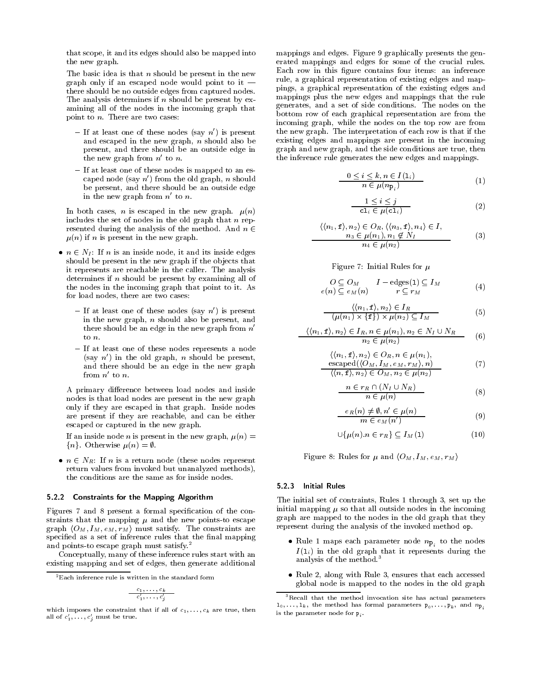that scope, it and its edges should also be mapped into the new graph.

The basic idea is that  $n$  should be present in the new graph only if an escaped node would point to it  $$ there should be no outside edges from captured nodes. The analysis determines if  $n$  should be present by examining all of the nodes in the incoming graph that point to n. There are two cases:

- $-$  If at least one of these nodes (say  $n'$ ) is present and escaped in the new graph, <sup>n</sup> should also be present, and there should be an outside edge in the new graph from  $n'$  to n.
- If at least one of these nodes is mapped to an escaped node (say  $n'$ ) from the old graph, n should be present, and there should be an outside edge in the new graph from  $n'$  to n.

In both cases, *n* is escaped in the new graph.  $\mu(n)$ includes the set of nodes in the old graph that  $n$  represented during the analysis of the method. And  $n \in$  $\mu(n)$  if n is present in the new graph.

- $\bullet$   $n \in N_I$ : If  $n$  is an inside node, it and its inside edges should be present in the new graph if the ob jects that it represents are reachable in the caller. The analysis determines if <sup>n</sup> should be present by examining all of the nodes in the incoming graph that point to it. As for load nodes, there are two cases:
	- ${\cal I}$  If at least one of these nodes (say n') is present in the new graph, <sup>n</sup> should also be present, and there should be an edge in the new graph from  $n'$ to  $n$ .
	- { If at least one of these nodes represents a node (say  $n'$ ) in the old graph, n should be present, and there should be an edge in the new graph from  $n'$  to  $n$ .

A primary difference between load nodes and inside nodes is that load nodes are present in the new graph only if they are escaped in that graph. Inside nodes are present if they are reachable, and can be either escaped or captured in the new graph.

If an inside node n is present in the new graph,  $\mu(n) =$  $\{n\}$ . Otherwise  $\mu(n) = \emptyset$ .

 $\bullet$   $n \in N_R$ : If  $n$  is a return node (these nodes represent return values from invoked but unanalyzed methods), the conditions are the same as for inside nodes.

#### 522 5.2.2 Constraints for the Mapping Algorithm

Figures 7 and 8 present a formal specication of the constraints that the mapping  $\mu$  and the new points-to escape graph  $\langle O_M, I_M, e_M, r_M \rangle$  must satisfy. The constraints are specified as a set of inference rules that the final mapping and points-to escape graph must satisfy.2

Conceptually, many of these inference rules start with an existing mapping and set of edges, then generate additional

$$
\frac{c_1,\ldots,c_k}{c'_1,\ldots,c'_j}
$$

mappings and edges. Figure 9 graphically presents the generated mappings and edges for some of the crucial rules. Each row in this figure contains four items: an inference rule, a graphical representation of existing edges and mappings, a graphical representation of the existing edges and mappings plus the new edges and mappings that the rule generates, and a set of side conditions. The nodes on the bottom row of each graphical representation are from the incoming graph, while the nodes on the top row are from the new graph. The interpretation of each row is that if the existing edges and mappings are present in the incoming graph and new graph, and the side conditions are true, then the inference rule generates the new edges and mappings.

$$
\frac{0 \le i \le k, n \in I(1_i)}{n \in \mu(n_{\mathbf{p}_i})}
$$
(1)

$$
\frac{1 \le i \le j}{\text{cl}_i \in \mu(\text{cl}_i)}
$$
\n
$$
\langle \langle n_1, \mathbf{f} \rangle, n_2 \rangle \in O_R, \langle \langle n_3, \mathbf{f} \rangle, n_4 \rangle \in I,
$$
\n
$$
(2)
$$

$$
\frac{\langle \langle n_1, \mathbf{f} \rangle, n_2 \rangle \in O_R, \langle \langle n_3, \mathbf{f} \rangle, n_4 \rangle \in I,}{n_3 \in \mu(n_1), n_1 \notin N_I}
$$
\n
$$
(3)
$$
\n
$$
n_4 \in \mu(n_2)
$$

### Figure 7: Initial Rules for  $\mu$

$$
O \subseteq O_M \qquad I - \text{edges}(1) \subseteq I_M
$$
  
\n
$$
e(n) \subseteq e_M(n) \qquad r \subseteq r_M
$$
  
\n
$$
\langle \langle n_1, f \rangle, n_2 \rangle \in I_R
$$
  
\n
$$
\langle \langle n_2, f \rangle, n_3 \rangle \in I_R
$$

$$
\langle n_1, \mathbf{f} \rangle, n_2 \rangle \in I_R
$$
  
\n
$$
\langle \mu(n_1) \times \{\mathbf{f}\} \rangle \times \mu(n_2) \subseteq I_M
$$
  
\n
$$
\langle n_1, \mathbf{f} \rangle, n_2 \rangle \in I_R, n \in \mu(n_1), n_2 \in N_I \cup N_R
$$

$$
\frac{\langle \langle n_1, \mathbf{f} \rangle, n_2 \rangle \in I_R, n \in \mu(n_1), n_2 \in N_I \cup N_R}{n_2 \in \mu(n_2)} \qquad (6)
$$

$$
\langle \langle n_1, \mathbf{f} \rangle, n_2 \rangle \in O_R, n \in \mu(n_1),
$$

$$
\langle \langle n_1, \mathbf{f} \rangle, n_2 \rangle \in O_R, n \in \mu(n_1),
$$
  
escaped( $(O_M, I_M, e_M, r_M), n$ )  
 $\langle \langle n, \mathbf{f} \rangle, n_2 \rangle \in O_M, n_2 \in \mu(n_2)$  (7)

$$
\frac{n \in r_R \cap (N_I \cup N_R)}{n \in \mu(n)} \tag{8}
$$

$$
\frac{e_R(n) \neq \emptyset, n' \in \mu(n)}{m \in e_M(n')}
$$
\n
$$
\bigcup \{\mu(n), n \in r_R\} \subset I_M(1)
$$
\n(10)

$$
\bigcup \{\mu(n), n \in r_R\} \subseteq I_M(1) \tag{10}
$$

Figure 8: Rules for  $\mu$  and  $\langle O_M, I_M, e_M, r_M \rangle$ 

#### 5.2.3 Initial Rules

The initial set of contraints, Rules 1 through 3, set up the initial mapping  $\mu$  so that all outside nodes in the incoming graph are mapped to the nodes in the old graph that they represent during the analysis of the invoked method op.

- $\bullet$  Kule 1 maps each parameter node  $n_{\text{P}_i}$  to the nodes  $I(1<sub>i</sub>)$  in the old graph that it represents during the analysis of the method.<sup>3</sup>
- $\bullet$  Kule 2, along with Kule 3, ensures that each accessed  $\bullet$ global node is mapped to the nodes in the old graph

 $^2\rm{Each}\,\, inference\,\, rule\,\, is\,\, written\,\, in\,\, the\,\, standard\,\, form$ 

which imposes the constraint that if all of  $c_1,\ldots,c_k$  are true, then all of  $c_{\,1},\,\ldots,c_{\,i}\,$  must be true.

<sup>3</sup>Recall that the method invocation site has actual parameters l0;:::; lk, the method has formal parameters <sup>p</sup> 0;:::; <sup>p</sup> k, and np is the parameter node for <sup>p</sup> .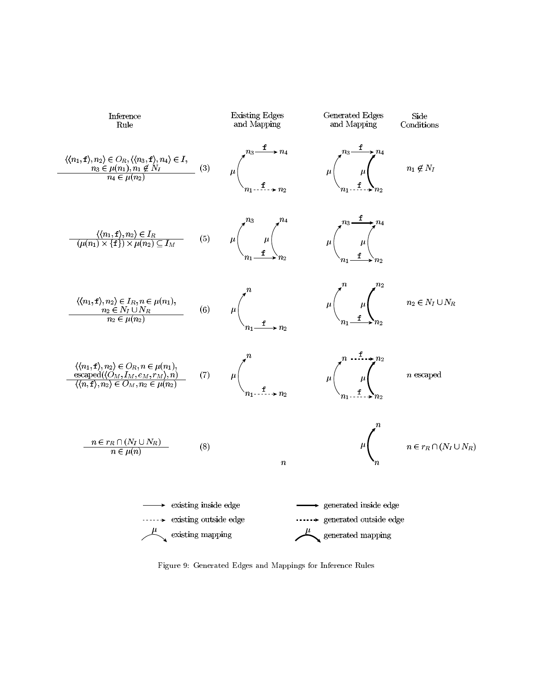

Figure 9: Generated Edges and Mappings for Inference Rules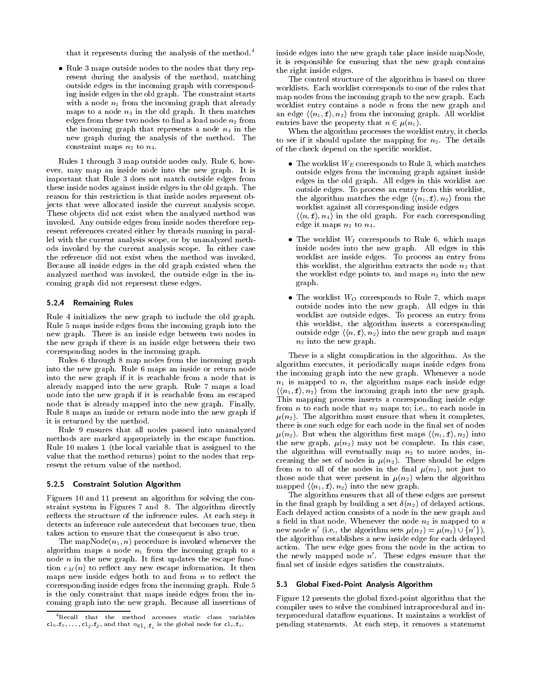that it represents during the analysis of the method.<sup>4</sup>

 $\bullet\,$  Kule 3 maps outside nodes to the nodes that they rep-  $\,$ resent during the analysis of the method, matching outside edges in the incoming graph with corresponding inside edges in the old graph. The constraint starts with a node  $n_1$  from the incoming graph that already maps to a node  $n_3$  in the old graph. It then matches edges from these two nodes to find a load node  $n_2$  from the incoming graph that represents a node  $n_4$  in the new graph during the analysis of the method. The constraint maps  $n_2$  to  $n_4$ .<br>Rules 1 through 3 map outside nodes only. Rule 6, how-

ever, may map an inside node into the new graph.It is important that Rule 3 does not match outside edges from these inside nodes against inside edges in the old graph. The reason for this restriction is that inside nodes represent objects that were allocated inside the current analysis scope. These ob jects did not exist when the analyzed method was invoked. Any outside edges from inside nodes therefore rep resent references created either by threads running in parallel with the current analysis scope, or by unanalyzed methods invoked by the current analysis scope. In either case the reference did not exist when the method was invoked. Because all inside edges in the old graph existed when the analyzed method was invoked, the outside edge in the incoming graph did not represent these edges.

# 5.2.4 Remaining Rules

Rule 4 initializes the new graph to include the old graph. Rule 5 maps inside edges from the incoming graph into the new graph. There is an inside edge between two nodes in the new graph if there is an inside edge between their two corresponding nodes in the incoming graph.

Rules 6 through 8 map nodes from the incoming graph into the new graph. Rule 6 maps an inside or return node into the new graph if it is reachable from a node that is already mapped into the new graph. Rule 7 maps a load node into the new graph if it is reachable from an escaped node that is already mapped into the new graph. Finally, Rule 8 maps an inside or return node into the new graph if it is returned by the method.

Rule 9 ensures that all nodes passed into unanalyzed methods are marked appropriately in the escape function. Rule 10 makes l (the local variable that is assigned to the value that the method returns) point to the nodes that rep resent the return value of the method.

# 5.2.5 Constraint Solution Algorithm

Figures 10 and 11 present an algorithm for solving the constraint system in Figures 7 and 8. The algorithm directly reflects the structure of the inference rules. At each step it takes action to ensure that the consequent is also true.

The mapNode $(n_1, n)$  procedure is invoked whenever the algorithm maps a node  $n_1$  from the incoming graph to a node  $n$  in the new graph. It first updates the escape function  $e_M(n)$  to reflect any new escape information. It then maps new inside edges both to and from  $n$  to reflect the corresponding inside edges from the incoming graph. Rule 5 is the only constraint that maps inside edges from the incoming graph into the new graph. Because all insertions of inside edges into the new graph take place inside mapNode, it is responsible for ensuring that the new graph contains the right inside edges.

The control structure of the algorithm is based on three worklists. Each worklist corresponds to one of the rules that map nodes from the incoming graph to the new graph. Each worklist entry contains a node n from the new graph and an edge  $\langle\langle n_1, \mathbf{f}\rangle, n_2\rangle$  from the incoming graph. All worklist entries have the property that  $n \in \mu(n_1)$ .

When the algorithm processes the worklist entry, it checks to see if it should update the mapping for  $n_2$ . The details of the check depend on the specic worklist.

- $\bullet$  -fine worklist  $W_E$  corresponds to rule 3, which matches outside edges from the incoming graph against inside edges in the old graph. All edges in this worklist are outside edges. To process an entry from this worklist, the algorithm matches the edge  $\langle\langle n_1, \mathbf{f}\rangle, n_2\rangle$  from the worklist against all corresponding inside edges  $\langle\langle n, \mathbf{f}\rangle, n_4\rangle$  in the old graph. For each corresponding
- The worklist  $W_I$  corresponds to Rule 6, which maps inside nodes into the new graph.All edges in this worklist are inside edges. To process an entry from this worklist, the algorithm extracts the node  $n_2$  that the worklist edge points to, and maps  $n_2$  into the new graph.
- $\bullet$  The worklist  $W_O$  corresponds to function maps outside nodes into the new graph.All edges in this worklist are outside edges. To process an entry from this worklist, the algorithm inserts a corresponding outside edge  $\langle \langle n, \mathbf{f} \rangle, n_2 \rangle$  into the new graph and maps  $n_2$  into the new graph.

There is a slight complication in the algorithm. As the algorithm executes, it periodically maps inside edges from the incoming graph into the new graph. Whenever a node  $n_1$  is mapped to n, the algorithm maps each inside edge  $\langle \langle n_1, \mathbf{f} \rangle, n_2 \rangle$  from the incoming graph into the new graph. This mapping process inserts a corresponding inside edge from *n* to each node that  $n_2$  maps to; i.e., to each node in  $\mu(n_2)$ . The algorithm must ensure that when it completes, there is one such edge for each node in the final set of nodes  $\mu(n_2)$ . But when the algorithm first maps  $\langle\langle n_1, \mathbf{f}\rangle, n_2\rangle$  into the new graph,  $\mu(n_2)$  may not be complete. In this case, the algorithm will eventually map  $n_2$  to more nodes, increasing the set of nodes in  $\mu(n_2)$ . There should be edges from *n* to all of the nodes in the final  $\mu(n_2)$ , not just to those node that were present in  $\mu(n_2)$  when the algorithm mapped  $\langle \langle n_1, \mathbf{f} \rangle, n_2 \rangle$  into the new graph.

detects an inference rule antecedent that becomes true, then  $a$  net in that node. Whenever the node  $n_2$  is mapped to a<br>takes action to ensure that the consequent is also true. The algorithm ensures that all of these edges are present in the final graph by building a set  $\delta(n_2)$  of delayed actions. Each delayed action consists of a node in the new graph and a field in that node. Whenever the node  $n_2$  is mapped to a Each delayed action consists of a node in the new graph and<br>a field in that node. Whenever the node  $n_2$  is mapped to a<br>new node n' (i.e., the algorithm sets  $\mu(n_2) = \mu(n_2) \cup \{n'\}$ ), the algorithm establishes a new inside edge for each delayed action. The new edge goes from the node in the action to the newly mapped node  $n'$ . These edges ensure that the final set of inside edges satisfies the constraints.

#### 5.3 Global Fixed-Point Analysis Algorithm

Figure 12 presents the global fixed-point algorithm that the compiler uses to solve the combined intraprocedural and interprocedural dataflow equations. It maintains a worklist of pending statements. At each step, it removes a statement

<sup>4</sup>Recall that the method accesses static class variables close  $f$  , and the global node  $\mathbf{c}_1$  ,  $\mathbf{c}_2$  ,  $\mathbf{c}_3$  is the global node for clients  $\mathbf{c}_1$  .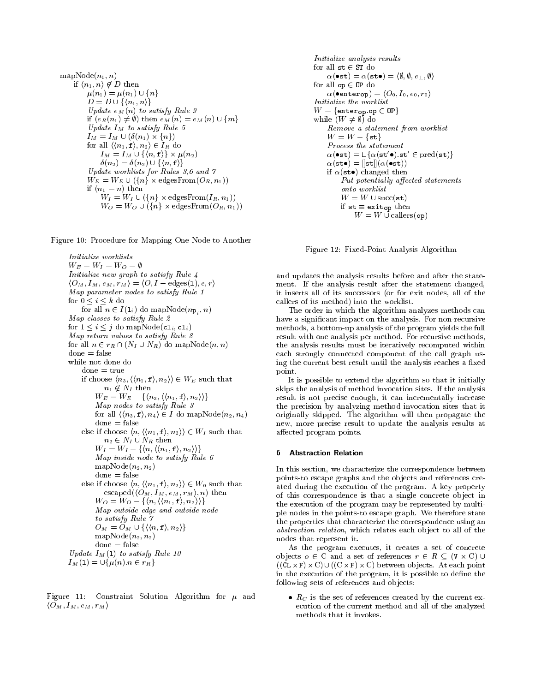```
mapNode(n_1, n)if \langle n_1, n \rangle \notin D then
                           \begin{array}{l} \displaystyle \operatorname{de}(n_1,\,n)\ \displaystyle \mu_1,\,n) \not\in D \end{array} \text{then} \ \displaystyle \mu(n_1) = \mu(n_1) \cup \{n\}.\begin{array}{l} \left( \mu_1 , n \right) \not \in D \text{ then } \ \mu(n_1) = \mu(n_1) \cup \{ n \} \ D = D \cup \{ (n_1 , n) \} \end{array}Update e_M(n) to satisfy Rule 9
                           \begin{array}{l} \hat{D} = D \cup \{ (n_1,n) \} \ Update \ e_M(n) \ to \ satisfy \ Rule \ 9 \ \ \text{if} \ (e_R(n_1) \neq \emptyset) \ \text{then} \ e_M(n) = e_M(n) \cup \{ m \} \end{array}Up at the IM to satisfy reserve the contract of the same \mathcal{L}_1I_M = I_M \cup (\delta(n_1) \times \{n\})\begin{array}{l} e_M(n) = e_M(n) \ Rule \ 5 \ \{n\} \end{array}\begin{array}{l} Update\ \ \bar{I_M}\ \ \pmb{to}\ satisfy\ \ \pmb{Rule}\ \ \pmb{5}\ Im\ \ \pmb{I_M}=\overline{I_M}\cup(\delta(n_1)\times\{n\})\ \ \text{for all}\ \langle\langle n_1,\texttt{f}\rangle,n_2\rangle\in\overline{I_R}\ \ \text{do} \end{array}= I_M \cup (\delta(n_1) \times \{n\})<br>all \langle \langle n_1, \mathbf{f} \rangle, n_2 \rangle \in I_R do<br>I_M = I_M \cup \{ \langle n, \mathbf{f} \rangle \} \times \mu(n_2)all \langle \langle n_1, \hat{\mathbf{f}} \rangle, n_2 \rangle \in I_R do<br>
I_M = I_M \cup \{ \langle n, \mathbf{f} \rangle \} \times \mu(n_2)<br>
\delta(n_2) = \delta(n_2) \cup \{ \langle n, \mathbf{f} \rangle \}Update worklists for Rules 3,6 and 7
                           \begin{array}{c} \delta(n_2) = \delta(n_2) \cup \{ (n, \mathbf{f}) \} \\ Up\text{date worklists for Rules 3, 6} \\ W_E = W_E \cup \{ \{ n \} \times \text{edgesFrom}(C) \end{array}\frac{1}{2} contromately \frac{1}{2} is the set of \frac{1}{2}if (n_1 = n) then
                                        W_{N-1} = W_E \cup (\{n\}^\circ \times \text{edgesFrom}(O_R,\ N_1 = n) \text{ then} \ W_I = W_I \cup (\{n\} \times \text{edgesFrom}(I_R, \gamma))\frac{1}{2}W_I = n) then<br>
W_I = W_I \cup (\{n\} \times \text{edgesFrom}(I_R))<br>
W_O = W_O \cup (\{n\} \times \text{edgesFrom}(I_R))W_O = W_O \cup (\{n\} \times \text{edgesFrom}(O_R, n_1))
```
Figure 10: Procedure for Mapping One Node to Another

Initialize worklists  $W_E = W_I = W_O = \emptyset$ Initialize new graph to satisfy Rule 4  $\langle O_M, I_M, e_M, r_M \rangle = \langle O, I - \text{edges}(1), e, r \rangle$ Map parameter nodes to satisfy Rule 1 for  $0 \leq i \leq k$  do for all  $n \in I(\mathsf{L}_i)$  do map Node( $n_\mathsf{D}$ ,  $n$ ) in the contract of the contract of Map classes to satisfy Rule 2 for  $1 \leq i \leq j$  do mapNode(cl<sub>i</sub>, cl<sub>i</sub>) Map return values to satisfy Rule 8 for all  $n \in r_R \cap (N_I \cup N_R)$  do mapNode $(n, n)$ while not done do  $done = true$ if enot done do<br>done = true<br>if choose  $\langle n_3, \langle \langle n_1, \mathbf{f} \rangle, n_2 \rangle \rangle \in W_E$  such that  $n_1 \notin N_I$  then noose  $\langle n_3, \langle (n_1, \mathbf{f}), n_2 \rangle \rangle \in W_E$  such that<br>  $n_1 \notin N_I$  then<br>  $W_E = W_E - \{ (n_3, \langle (n_1, \mathbf{f}), n_2 \rangle) \}$ Map nodes to satisfy Rule 3  $W_E = W_E - \{\langle n_3, \langle \langle n_1, \mathbf{f} \rangle, n_2 \rangle \}$ <br>Map nodes to satisfy Rule 3<br>for all  $\langle \langle n_3, \mathbf{f} \rangle, n_4 \rangle \in I$  do mapNode $(n_2, n_4)$ for all  $\langle (n_3, f), n_4 \rangle \in I$  do mapNode $(n_2, n_4)$ <br>done = false<br>else if choose  $\langle n, \langle (n_1, f), n_2 \rangle \rangle \in W_I$  such that  $n_2 \in N_I \cup N_R$  then if choose  $\langle n, \langle (n_1, \mathbf{f}), n_2 \rangle \rangle \in W_I$  such t<br>  $n_2 \in N_I \cup N_R$  then<br>  $W_I = W_I - \{ \langle n, \langle (n_1, \mathbf{f}), n_2 \rangle \} \}$ Map inside node to satisfy Rule 6  $mapNode(n_2, n_2)$ done = false mapNode( $n_2, n_2$ )<br>done = false<br>else if choose  $\langle n, \langle (n_1, f), n_2 \rangle \rangle \in W_0$  such that escaped( $\langle O_M, I_M, e_M, r_M \rangle$ , n) then if choose  $\langle n, \langle \langle n_1, \mathbf{f} \rangle, n_2 \rangle \rangle \in W_0$  such the scaped  $(\langle O_M, I_M, e_M, r_M \rangle, n)$  then  $W_O = W_O - \{ \langle n, \langle \langle n_1, \mathbf{f} \rangle, n_2 \rangle \} \}$ Map outside edge and outside node to satisfy Rule 7 Map outside edge and outside node<br>to satisfy Rule 7<br> $O_M = O_M \cup \{ \langle n, f \rangle, n_2 \}$  $mapNode(n_2, n_2)$  $done = false$ Update  $I_M(1)$  to satisfy Rule 10  $I_M(1) = \bigcup \{\mu(n): n \in r_R\}$ 

Figure 11: Constraint Solution Algorithm for  $\mu$  and  $\langle O_M, I_M, e_M, r_M \rangle$ 

Initialize analysis results for all  $\texttt{st} \in \texttt{ST}$  do  $\alpha(\bullet \texttt{st}) = \alpha(\texttt{st} \bullet) = \langle \emptyset, \emptyset, e_\perp, \emptyset \rangle$ for all  $op \in OP$  do  $\alpha(\bullet$ enter<sub>op</sub> $) = \langle O_0, I_0, e_0, r_0 \rangle$ Initialize the worklist  $W = \{$ enter<sub>op.</sub>op  $\in$  OP $\}$ while  $(W \neq \emptyset)$  do Remove a statement from worklist  $\begin{array}{l} \mathbf{Re}\ (W \neq \emptyset) \ \mathbf{Com} \ \mathbf{Remove} \ \ a \ statement \ from \ W = W - \{\mathbf{st}\} \end{array}$ Process the statement  $\alpha(\bullet\texttt{st}) = \sqcup\{\alpha(\texttt{st}'\bullet).\texttt{st}'\in \texttt{pred}(\texttt{st})\}$  $\alpha(\texttt{st}) = [\texttt{st}] (\alpha(\texttt{est}))$ if  $\alpha(\texttt{st})$  changed then Put potentially affected statements onto worklist  $W = W \cup \text{succ}(\texttt{st})$ if  $st \equiv e$ xitop then  $W = W \cup \text{callers}(\text{op})$ 



and updates the analysis results before and after the state ment. If the analysis result after the statement changed, it inserts all of its successors (or for exit nodes, all of the callers of its method) into the worklist.

The order in which the algorithm analyzes methods can have a significant impact on the analysis. For non-recursive methods, a bottom-up analysis of the program yields the full result with one analysis per method. For recursive methods, the analysis results must be iteratively recomputed within each strongly connected component of the call graph using the current best result until the analysis reaches a fixed point.

It is possible to extend the algorithm so that it initially skips the analysis of method invocation sites. If the analysis result is not precise enough, it can incrementally increase the precision by analyzing method invocation sites that it originally skipped. The algorithm will then propagate the new, more precise result to update the analysis results at affected program points.

#### 6 Abstraction Relation 6

In this section, we characterize the correspondence between points-to escape graphs and the ob jects and references created during the execution of the program. A key property of this correspondence is that a single concrete ob ject in the execution of the program may be represented by multiple nodes in the points-to escape graph. We therefore state the properties that characterize the correspondence using an abstraction relation, which relates each object to all of the nodes that represent it.

As the program executes, it creates a set of concrete objects  $o \in C$  and a set of references  $r \in R \subseteq (V \times C)$  $((U_X, F) \times U) \cup ((U_X, F) \times U)$  between objects. At each point in the execution of the program, it is possible to define the following sets of references and objects:

 $\bullet$   $R_C$  is the set of references created by the current execution of the current method and all of the analyzed methods that it invokes.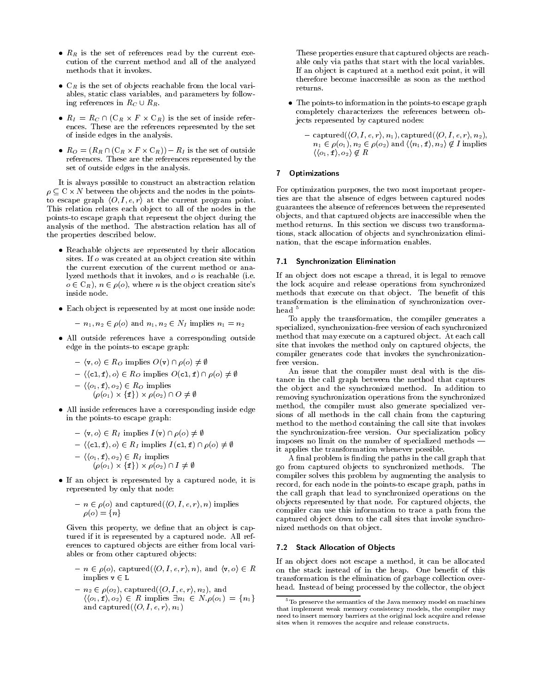- $\bullet$   $\kappa_R$  is the set of references read by the current execution of the current method and all of the analyzed methods that it invokes.
- $\bullet$   $\cup$   $_R$  is the set of objects reachable from the local variables, static class variables, and parameters by following references in  $R_C \cup R_R$ .
- $K_I = K_C \sqcup (\cup_R \times I \times \cup_R)$  is the set of inside references. These are the references represented by the set of inside edges in the analysis.
- $K_O = (R_R \cup (C_R \times F \times C_R)) K_I$  is the set of outside references. These are the references represented by the set of outside edges in the analysis.

It is always possible to construct an abstraction relation  $\rho \subset C \times I$  between the objects and the nodes in the pointsto escape graph  $\langle O, I, e, r \rangle$  at the current program point. This relation relates each ob ject to all of the nodes in the points-to escape graph that represent the ob ject during the analysis of the method. The abstraction relation has all of the properties described below.

- $\bullet$  reachable objects are represented by their allocation sites. If <sup>o</sup> was created at an ob ject creation site within the current execution of the current method or analyzed methods that it invokes, and <sup>o</sup> is reachable (i.e.  $o \in C_R$ ,  $n \in \rho(o)$ , where *n* is the object creation site's inside node.
- Each ob ject is represented by at most one inside node:

$$
- n_1, n_2 \in \rho(o) \text{ and } n_1, n_2 \in N_I \text{ implies } n_1 = n_2
$$

 All outside references have a corresponding outside edge in the points-to escape graph: fraction of the points-to escape graph:<br>  $- \langle v, o \rangle \in R_O$  implies  $O(v) \cap \rho(o) \neq \emptyset$ 

$$
- \langle \mathbf{v}, o \rangle \in R_O \text{ implies } O(\mathbf{v}) \cap \rho(o) \neq \emptyset
$$

$$
-\langle \mathbf{v}, o \rangle \in R_O \text{ implies } O(\mathbf{v}) \cap \rho(o) \neq \emptyset
$$
  
 
$$
-\langle \langle c1, \mathbf{f} \rangle, o \rangle \in R_O \text{ implies } O(c1, \mathbf{f}) \cap \rho(o) \neq \emptyset
$$
  
 
$$
-\langle \langle o_1, \mathbf{f} \rangle, o_2 \rangle \in R_O \text{ implies}
$$

- $\langle A_1, f \rangle, o \rangle \in R_O \text{ implies } O(\text{cl}, f) \cap \rho(o) \neq \emptyset, \ \langle b_1, f \rangle, o_2 \rangle \in R_O \text{ implies} \ (\rho(o_1) \times \{f\}) \times \rho(o_2) \cap O \neq \emptyset.$
- All inside references have a corresponding inside edge in the points-to escape graph:
	- $\langle \mathbf{v}, o \rangle \in R_I$  implies  $I(\mathbf{v}) \cap \rho(o) \neq \emptyset$
	- ${ \sigma \choose (\mathbf{v}, o) \in R_I \text{ implies } I(\mathbf{v}) \cap \rho(o) \neq \emptyset } \nonumber \{- \langle \langle \mathtt{cl}, \mathtt{f} \rangle, o \rangle \in R_I \text{ implies } I(\mathtt{cl}, \mathtt{f}) \cap \rho(o) \neq \emptyset }$  $\langle \langle \mathbf{c1}, \mathbf{f} \rangle, o \rangle \in R_I$  implies  $I(\mathbf{c1}, \mathbf{f})$ <br>  $-\langle \langle o_1, \mathbf{f} \rangle, o_2 \rangle \in R_I$  implies
	- $\langle \langle o_1, \mathbf{f} \rangle, o_2 \rangle \in R_I$  implies
		- $(p(0_1) \times 11) \times p(0_2)$  ii  $I \neq \emptyset$
- $\bullet$  II an object is represented by a captured node, it is  $\qquad \Box$ represented by only that node:
	- $n \in \rho(o)$  and captured $(\langle O, I, e, r \rangle, n)$  implies  $\rho(o) = \{n\}$

Given this property, we define that an object is captured if it is represented by a captured node. All references to captured objects are either from local variables or from other captured ob jects:

- $\{ n \in \rho(o), \text{ captured}(\langle O, I, e, r \rangle, n), \text{ and } \langle v, o \rangle \in R$ implies  $v \in L$
- ${n_2 \in \rho(o_2), \text{ captured}(\langle O, I, e, r \rangle, n_2), \text{ and}}$  $\langle \langle o_1, \mathbf{f} \rangle, o_2 \rangle \in R$  implies  $\exists n_1 \in N . \rho(o_1) = \{n_1\}$ and captured $((O, I, e, r), n_1)$

These properties ensure that captured ob jects are reachable only via paths that start with the local variables. If an ob ject is captured at a method exit point, it will therefore become inaccessible as soon asthe method returns.

- $\bullet$  -fine points-to information in the points-to escape graph completely characterizes the references between objects represented by captured nodes:
	- $=$  captured((O, I, e, r),  $n_1$ ), captured((O, I, e, r),  $n_2$ ),  $\begin{array}{l} \mathbf{1}_{\mathcal{D}} \mathbf{1}_{\mathcal{D}} \mathbf{1}_{\mathcal{D}} \mathbf{1}_{\mathcal{D}} \mathbf{1}_{\mathcal{D}} \mathbf{1}_{\mathcal{D}} \mathbf{1}_{\mathcal{D}} \mathbf{1}_{\mathcal{D}} \mathbf{1}_{\mathcal{D}} \mathbf{1}_{\mathcal{D}} \mathbf{1}_{\mathcal{D}} \mathbf{1}_{\mathcal{D}} \mathbf{1}_{\mathcal{D}} \mathbf{1}_{\mathcal{D}} \mathbf{1}_{\mathcal{D}} \mathbf{1}_{\mathcal{D}} \mathbf{1}_{\mathcal{D}} \mathbf{1}_{\mathcal$  $n_1 \in \rho(o_1), n_2 \in \rho(o_2)$  and  $\langle \langle n_1, \mathbf{f} \rangle, n_2 \rangle \notin I$  implies  $\langle \langle o_1, \mathbf{f} \rangle, o_2 \rangle \notin R$

#### **Optimizations**  $\overline{7}$

For optimization purposes, the two most important properties are that the absence of edges between captured nodes guarantees the absence of references between the represented ob jects, and that captured ob jects are inaccessible when the method returns. In this section we discuss two transformations, stack allocation of ob jects and synchronization elimination, that the escape information enables.

#### 7.1 Synchronization Elimination

If an ob ject does not escape a thread, it is legal to remove the lock acquire and release operations from synchronized methods that execute on that object. The benefit of this transformation is the elimination of synchronization over head <sup>5</sup>

To apply the transformation, the compiler generates a specialized, synchronization-free version of each synchronized method that may execute on a captured ob ject. At each call site that invokes the method only on captured objects, the compiler generates code that invokes the synchronization-

An issue that the compiler must deal with is the distance in the call graph between the method that captures the ob ject and the synchronized method. In addition to removing synchronization operations from the synchronized method, the compiler must also generate specialized ver sions of all methods in the call chain from the capturing method to the method containing the call site that invokes the synchronization-free version. Our specialization policy imposes no limit on the number of specialized methods  $$ it applies the transformation whenever possible.

A final problem is finding the paths in the call graph that go from captured ob jects to synchronized methods. The compiler solves this problem by augmenting the analysis to record, for each node in the points-to escape graph, paths in the call graph that lead to synchronized operations on the ob jects represented by that node. For captured ob jects, the compiler can use this information to trace a path from the captured ob ject down to the call sites that invoke synchronized methods on that ob ject.

# 7.2 Stack Allocation of Objects

If an ob ject does not escape a method, it can be allocated on the stack instead of in the heap. One benet of this transformation is the elimination of garbage collection over head. Instead of being processed by the collector, the ob ject

<sup>5</sup>To preserve the semantics of the Java memory model on machines that implement weak memory consistency models, the compiler may need to insert memory barriers at the original lock acquire and release sites when it removes the acquire and release constructs.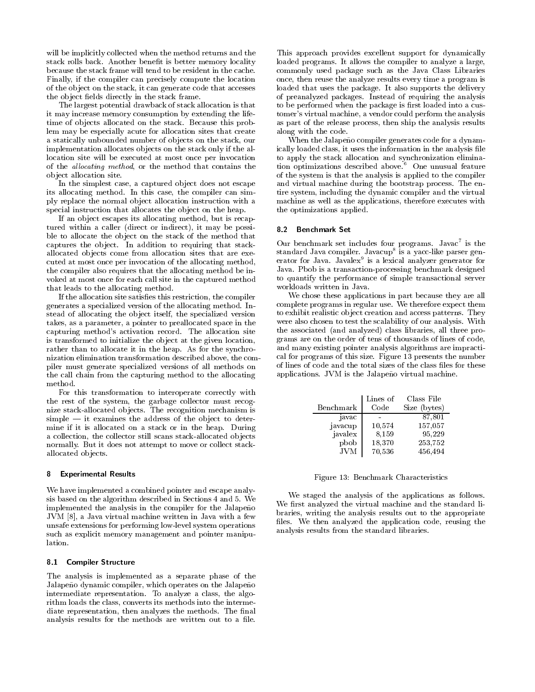will be implicitly collected when the method returns and the stack rolls back. Another benefit is better memory locality because the stack frame will tend to be resident in the cache. Finally, if the compiler can precisely compute the location of the ob ject on the stack, it can generate code that accesses the object fields directly in the stack frame.

The largest potential drawback of stack allocation is that it may increase memory consumption by extending the lifetime of ob jects allocated on the stack. Because this problem may be especially acute for allocation sites that create a statically unbounded number of ob jects on the stack, our implementation allocates ob jects on the stack only if the allocation site will be executed at most once per invocation of the *allocating method*, or the method that contains the ob ject allocation site.

In the simplest case, a captured ob ject does not escape its allocating method. In this case, the compiler can simply replace the normal ob ject allocation instruction with a special instruction that allocates the object on the heap.

If an ob ject escapes its allocating method, but is recaptured within a caller (direct or indirect), it may be possible to allocate the object on the stack of the method that captures the ob ject. In addition to requiring that stackallocated ob jects come from allocation sites that are exe cuted at most once per invocation of the allocating method, the compiler also requires that the allocating method be in voked at most once for each call site in the captured method that leads to the allocating method.

If the allocation site satisfies this restriction, the compiler generates a specialized version of the allocating method. Instead of allocating the ob ject itself, the specialized version takes, as a parameter, a pointer to preallocated space in the capturing method's activation record. The allocation site is transformed to initialize the ob ject at the given location, rather than to allocate it in the heap. As for the synchronization elimination transformation described above, the comnization elimination transformation described above, the compiler must generate specialized versions of all methods on the call chain from the capturing method to the allocating

For this transformation to interoperate correctly with the rest of the system, the garbage collector must recognize stack-allocated ob jects. The recognition mechanism is  $simple$  — it examines the address of the object to determine if it is allocated on a stack or in the heap. During a collection, the collector still scans stack-allocated ob jects normally. But it does not attempt to move or collect stackallocated ob jects.

### 8 Experimental Results

We have implemented a combined pointer and escape analysis based on the algorithm described in Sections 4 and 5. We implemented the analysis in the compiler for the Jalapeño JVM [8], a Java virtual machine written in Java with a few unsafe extensions for performing low-level system operations such as explicit memory management and pointer manipulation.

#### 8.1 Compiler Structure

The analysis is implemented as a separate phase of the Jalapeño dynamic compiler, which operates on the Jalapeño intermediate representation. To analyze a class, the algorithm loads the class, converts its methods into the intermediate representation, then analyzes the methods. The final analysis results for the methods are written out to a file. This approach provides excellent support for dynamically loaded programs. It allows the compiler to analyze a large, commonly used package such as the Java Class Libraries once, then reuse the analyze results every time a program is loaded that uses the package. It also supports the delivery of preanalyzed packages. Instead of requiring the analysis to be performed when the package is first loaded into a customer's virtual machine, a vendor could perform the analysis as part of the release process, then ship the analysis results along with the code.

When the Jalapeño compiler generates code for a dynamically loaded class, it uses the information in the analysis file to apply the stack allocation and synchronization elimination optimizations described above.<sup>6</sup> One unusual feature of the system is that the analysis is applied to the compiler and virtual machine during the bootstrap process. The entire system, including the dynamic compiler and the virtual machine as well as the applications, therefore executes with the optimizations applied.

# 8.2 Benchmark Set

Our benchmark set includes four programs. Javac is the standard Java compiler. Javacup is a yacc-like parser generator for Java. Javalex is a lexical analyzer generator for Java. Pbob is a transaction-processing benchmark designed to quantify the performance of simple transactional server workloads written in Java.

We chose these applications in part because they are all complete programs in regular use. We therefore expect them to exhibit realistic ob ject creation and access patterns. They were also chosen to test the scalability of our analysis. With the associated (and analyzed) class libraries, all three programs are on the order of tens of thousands of lines of code, and many existing pointer analysis algorithms are impractical for programs of this size. Figure 13 presents the number of lines of code and the total sizes of the class files for these applications. JVM is the Jalapeño virtual machine.

| Benchmark  | Lines of<br>Code | Class File<br>Size (bytes) |  |
|------------|------------------|----------------------------|--|
| javac      |                  | 87.801                     |  |
| javacup    | 10,574           | 157,057                    |  |
| javalex    | 8.159            | 95,229                     |  |
| pbob       | 18,370           | 253,752                    |  |
| <b>JVM</b> | 70,536           | 456,494                    |  |

Figure 13: Benchmark Characteristics

We staged the analysis of the applications as follows. We first analyzed the virtual machine and the standard libraries, writing the analysis results out to the appropriate files. We then analyzed the application code, reusing the analysis results from the standard libraries.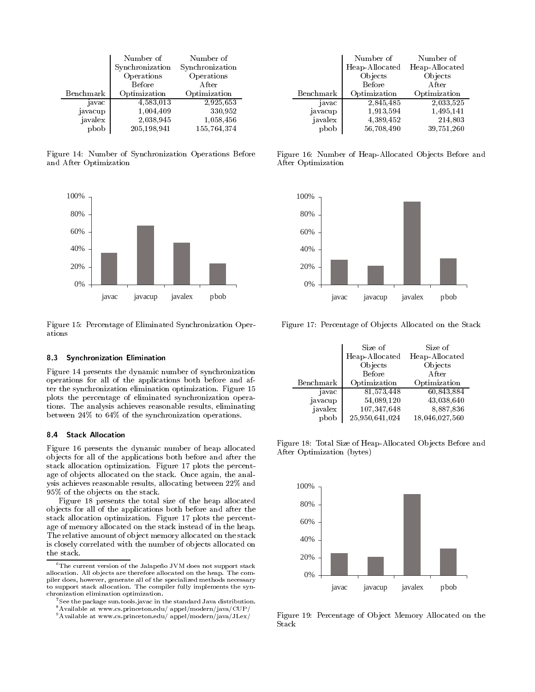|                | Number of<br>Synchronization<br>Operations<br>Before | Number of<br>Synchronization<br>Operations<br>After |
|----------------|------------------------------------------------------|-----------------------------------------------------|
| Benchmark      | Optimization                                         | Optimization                                        |
| javac          | 4,583,013                                            | 2,925,653                                           |
| javacup        | 1,004,409                                            | 330,952                                             |
| javalex        | 2,038,945                                            | 1,058,456                                           |
| $_{\rm{bbob}}$ | 205,198,941                                          | 155,764,374                                         |

Figure 14: Number of Synchronization Operations Before and After Optimization



Figure 15: Percentage of Eliminated Synchronization Operations

#### Synchronization Elimination 8.3

Figure 14 presents the dynamic number of synchronization operations for all of the applications both before and after the synchronization elimination optimization. Figure 15 plots the percentage of eliminated synchronization operations. The analysis achieves reasonable results, eliminating between 24% to 64% of the synchronization operations.

#### $8.4$ **Stack Allocation**

Figure 16 presents the dynamic number of heap allocated ob jects for all of the applications both before and after the stack allocation optimization. Figure 17 plots the percentage of objects allocated on the stack. Once again, the analysis achieves reasonable results, allocating between 22% and 95% of the ob jects on the stack.

Figure 18 presents the total size of the heap allocated ob jects for all of the applications both before and after the stack allocation optimization. Figure 17 plots the percentage of memory allocated on the stack instead of in the heap. The relative amount of ob ject memory allocated on the stack is closely correlated with the number of ob jects allocated on the stack.

|           | Number of      | Number of              |
|-----------|----------------|------------------------|
|           | Heap-Allocated | Heap-Allocated         |
|           | Objects        | Objects                |
|           | Before         | After                  |
| Benchmark | Optimization   | Optimization           |
| javac     | 2,845,485      | $\overline{2,033},525$ |
| javacup   | 1,913,594      | 1,495,141              |
| javalex   | 4,389,452      | 214,803                |
| pbob      | 56,708,490     | 39,751,260             |

Figure 16: Number of Heap-Allocated Objects Before and After Optimization



Figure 17: Percentage of Objects Allocated on the Stack

|           | Size of        | Size of        |
|-----------|----------------|----------------|
|           | Heap-Allocated | Heap-Allocated |
|           | Objects        | Objects        |
|           | Before         | After          |
| Benchmark | Optimization   | Optimization   |
| javac     | 81,573,448     | 60,843,884     |
| javacup   | 54,089,120     | 43,038,640     |
| javalex   | 107,347,648    | 8,887,836      |
| pbob      | 25,950,641,024 | 18,046,027,560 |

Figure 18: Total Size of Heap-Allocated Objects Before and After Optimization (bytes)



Figure 19: Percentage of Object Memory Allocated on the Stack

 $6$ The current version of the Jalapeño JVM does not support stack allocation. All objects are therefore allocated on the heap. The compiler does, however, generate all of the specialized methods necessary to support stack allocation. The compiler fully implements the syn chronization elimination optimization.

 $7$ See the package sun.tools.javac in the standard Java distribution.

<sup>8</sup>Available at www.cs.princeton.edu/ appel/modern/java/CUP/ 9Available at www.cs.princeton.edu/ appel/modern/java/JLex/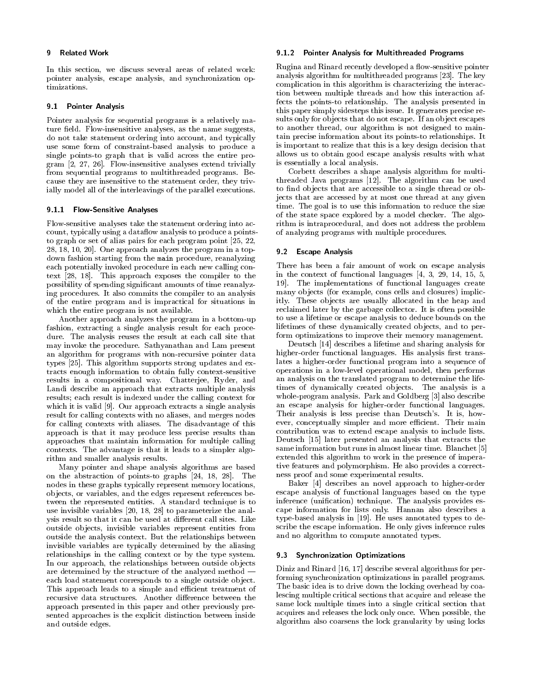#### **Related Work** g

In this section, we discuss several areas of related work: pointer analysis, escape analysis, and synchronization optimizations.

# 9.1 Pointer Analysis

Pointer analysis for sequential programs is a relatively mature field. Flow-insensitive analyses, as the name suggests, do not take statement ordering into account, and typically use some form of constraint-based analysis to produce a single points-to graph that is valid across the entire program [2, 27, 26]. Flow-insensitive analyses extend trivially from sequential programs to multithreaded programs. Because they are insensitive to the statement order, they trivially model all of the interleavings of the parallel executions.

### 9.1.1 Flow-Sensitive Analyses

Flow-sensitive analyses take the statement ordering into ac count, typically using a dataflow analysis to produce a pointsto graph or set of alias pairs for each program point [25, 22, 28, 18, 10, 20]. One approach analyzes the program in a topdown fashion starting from the main procedure, reanalyzing each potentially invoked procedure in each new calling context [28, 18]. This approach exposes the compiler to the possibility of spending significant amounts of time reanalyzing procedures. It also commits the compiler to an analysis of the entire program and is impractical for situations in which the entire program is not available.

Another approach analyzes the program in a bottom-up fashion, extracting a single analysis result for each procedure. The analysis reuses the result at each call site that may invoke the procedure. Sathyanathan and Lam present an algorithm for programs with non-recursive pointer data types [25]. This algorithm supports strong updates and extracts enough information to obtain fully context-sensitive results in a compositional way. Chatterjee, Ryder, and Landi describe an approach that extracts multiple analysis results; each result is indexed under the calling context for which it is valid [9]. Our approach extracts a single analysis result for calling contexts with no aliases, and merges nodes for calling contexts with aliases. The disadvantage of this approach is that it may produce less precise results than approaches that maintain information for multiple calling contexts. The advantage is that it leads to a simpler algorithm and smaller analysis results.

Many pointer and shape analysis algorithms are based on the abstraction of points-to graphs [24, 18, 28]. The nodes in these graphs typically represent memory locations, ob jects, or variables, and the edges represent references between the represented entities. A standard technique is to use invisible variables [20, 18, 28] to parameterize the analysis result so that it can be used at different call sites. Like outside ob jects, invisible variables represent entities from outside the analysis context. But the relationships between invisible variables are typically determined by the aliasing relationships in the calling context or by the type system. In our approach, the relationships between outside objects are determined by the structure of the analyzed method  $$ each load statement corresponds to a single outside object. This approach leads to a simple and efficient treatment of recursive data structures. Another difference between the approach presented in this paper and other previously pre sented approaches is the explicit distinction between inside and outside edges.

# 9.1.2 Pointer Analysis for Multithreaded Programs

Rugina and Rinard recently developed a flow-sensitive pointer analysis algorithm for multithreaded programs [23]. The key complication in this algorithm is characterizing the interaction between multiple threads and how this interaction affects the points-to relationship. The analysis presented in this paper simply sidesteps this issue. It generates precise results only for ob jects that do not escape. If an ob ject escapes to another thread, our algorithm is not designed to maintain precise information about its points-to relationships. It is important to realize that this is a key design decision that allows us to obtain good escape analysis results with what is essentially a local analysis.

Corbett describes a shape analysis algorithm for multithreaded Java programs [12]. The algorithm can be used to find objects that are accessible to a single thread or objects that are accessed by at most one thread at any given time. The goal is to use this information to reduce the size of the state space explored by a model checker. The algorithm is intraprocedural, and does not address the problem of analyzing programs with multiple procedures.

### 9.2 Escape Analysis

There has been a fair amount of work on escape analysis in the context of functional languages [4, 3, 29, 14, 15, 5, 19]. The implementations of functional languages create many ob jects (for example, cons cells and closures) implicitly. These ob jects are usually allocated in the heap and reclaimed later by the garbage collector. It is often possible to use a lifetime or escape analysis to deduce bounds on the lifetimes of these dynamically created ob jects, and to perform optimizations to improve their memory management.

Deutsch [14] describes a lifetime and sharing analysis for higher-order functional languages. His analysis first translates a higher-order functional program into a sequence of operations in a low-level operational model, then performs an analysis on the translated program to determine the lifetimes of dynamically created objects. The analysis is a whole-program analysis. Park and Goldberg [3] also describe an escape analysis for higher-order functional languages. Their analysis is less precise than Deutsch's. It is, how ever, conceptually simpler and more efficient. Their main contribution was to extend escape analysis to include lists. Deutsch [15] later presented an analysis that extracts the same information but runs in almost linear time. Blanchet [5] extended this algorithm to work in the presence of imperative features and polymorphism. He also provides a correctness proof and some experimental results.

Baker [4] describes an novel approach to higher-order escape analysis of functional languages based on the type inference (unification) technique. The analysis provides escape information for lists only. Hannan also describes a type-based analysis in [19]. He uses annotated types to describe the escape information. He only gives inference rules and no algorithm to compute annotated types.

### 9.3 Synchronization Optimizations

Diniz and Rinard [16, 17] describe several algorithms for performing synchronization optimizations in parallel programs. The basic idea is to drive down the locking overhead by coalescing multiple critical sections that acquire and release the same lock multiple times into a single critical section that acquires and releases the lock only once. When possible, the algorithm also coarsens the lock granularity by using locks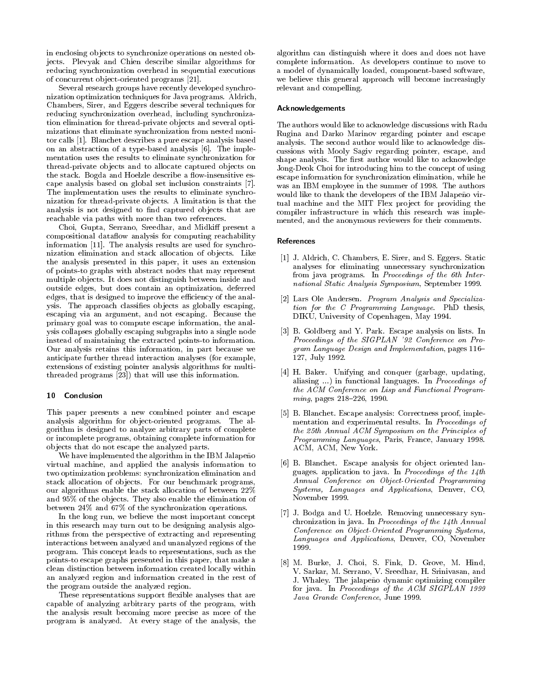in enclosing ob jects to synchronize operations on nested objects. Plevyak and Chien describe similar algorithms for reducing synchronization overhead in sequential executions of concurrent ob ject-oriented programs [21].

Several research groups have recently developed synchronization optimization techniques for Java programs. Aldrich, Chambers, Sirer, and Eggers describe several techniques for reducing synchronization overhead, including synchronization elimination for thread-private ob jects and several optimizations that eliminate synchronization from nested monitor calls [1]. Blanchet describes a pure escape analysis based on an abstraction of a type-based analysis [6]. The imple mentation uses the results to eliminate synchronization for thread-private ob jects and to allocate captured ob jects on the stack. Bogda and Hoelzle describe a flow-insensitive escape analysis based on global set inclusion constraints [7]. The implementation uses the results to eliminate synchronization for thread-private ob jects. A limitation is that the analysis is not designed to find captured objects that are reachable via paths with more than two references.

Choi, Gupta, Serrano, Sreedhar, and Midkiff present a compositional data
ow analysis for computing reachability information [11]. The analysis results are used for synchronization elimination and stack allocation of ob jects. Like the analysis presented in this paper, it uses an extension of points-to graphs with abstract nodes that may represent multiple ob jects. It does not distinguish between inside and outside edges, but does contain an optimization, deferred edges, that is designed to improve the efficiency of the analysis. The approach classies ob jects as globally escaping, escaping via an argument, and not escaping. Because the primary goal was to compute escape information, the analysis collapses globally escaping subgraphs into a single node instead of maintaining the extracted points-to information. Our analysis retains this information, in part because we anticipate further thread interaction and interaction and  $\mathcal{E}$ extensions of existing pointer analysis algorithms for multithreaded programs [23]) that will use this information.

### 10 Conclusion

This paper presents a new combined pointer and escape analysis algorithm for object-oriented programs. The algorithm is designed to analyze arbitrary parts of complete or incomplete programs, obtaining complete information for ob jects that do not escape the analyzed parts.

We have implemented the algorithm in the IBM Jalapeño virtual machine, and applied the analysis information to two optimization problems: synchronization elimination and stack allocation of ob jects. For our benchmark programs, our algorithms enable the stack allocation of between 22% and 95% of the objects. They also enable the elimination of between 24% and 67% of the synchronization operations.

In the long run, we believe the most important concept in this research may turn out to be designing analysis algorithms from the perspective of extracting and representing interactions between analyzed and unanalyzed regions of the program. This concept leads to representations, such as the points-to escape graphs presented in this paper, that make a clean distinction between information created locally within an analyzed region and information created in the rest of the program outside the analyzed region.

These representations support flexible analyses that are capable of analyzing arbitrary parts of the program, with the analysis result becoming more precise as more of the program is analyzed. At every stage of the analysis, the algorithm can distinguish where it does and does not have complete information. As developers continue to move to a model of dynamically loaded, component-based software, we believe this general approach will become increasingly relevant and compelling.

### Acknowledgements

The authors would like to acknowledge discussions with Radu Rugina and Darko Marinov regarding pointer and escape analysis. The second author would like to acknowledge discussions with Mooly Sagiv regarding pointer, escape, and shape analysis. The first author would like to acknowledge Jong-Deok Choi for introducing him to the concept of using escape information for synchronization elimination, while he was an IBM employee in the summer of 1998. The authors would like to thank the developers of the IBM Jalapeño virtual machine and the MIT Flex project for providing the compiler infrastructure in which this research was imple mented, and the anonymous reviewers for their comments.

#### References

- [1] J. Aldrich, C. Chambers, E. Sirer, and S. Eggers. Static analyses for eliminating unnecessary synchronization from java programs. In Proceedings of the 6th International Static Analysis Symposium, September 1999.
- [2] Lars Ole Andersen. Program Analysis and Specialization for the C Programming Language. PhD thesis, DIKU, University of Copenhagen, May 1994.
- [3] B. Goldberg and Y. Park. Escape analysis on lists. In Proceedings of the SIGPLAN '92 Conference on Pro gram Language Design and Implementation, pages 116-127, July 1992.
- [4] H. Baker. Unifying and conquer (garbage, updating, aliasing ...) in functional languages. In Proceedings of the ACM Conference on Lisp and Functional Program  $ming, pages 218–226, 1990.$
- [5] B. Blanchet. Escape analysis: Correctness proof, imple mentation and experimental results. In Proceedings of the 25th Annual ACM Symposium on the Principles of Programming Languages, Paris, France, January 1998. ACM, ACM, New York.
- [6] B. Blanchet. Escape analysis for ob ject oriented languages. application to java. In Proceedings of the 14th Annual Conference on Object-Oriented Programming Systems, Languages and Applications, Denver, CO, November 1999.
- [7] J. Bodga and U. Hoelzle. Removing unnecessary syn chronization in java. In Proceedings of the 14th Annual Conference on Object-Oriented Programming Systems, Languages and Applications, Denver, CO, November 1999.
- [8] M. Burke, J. Choi, S. Fink, D. Grove, M. Hind, V. Sarkar, M. Serrano, V. Sreedhar, H. Srinivasan, and J. Whaley. The jalapeño dynamic optimizing compiler for java. In Proceedings of the ACM SIGPLAN 1999 Java Grande Conference, June 1999.